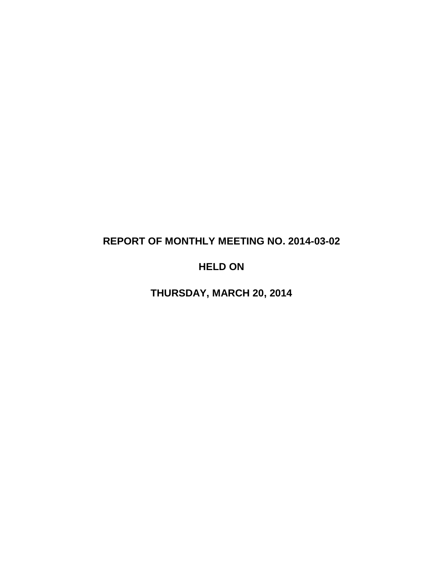# **REPORT OF MONTHLY MEETING NO. 2014-03-02**

# **HELD ON**

**THURSDAY, MARCH 20, 2014**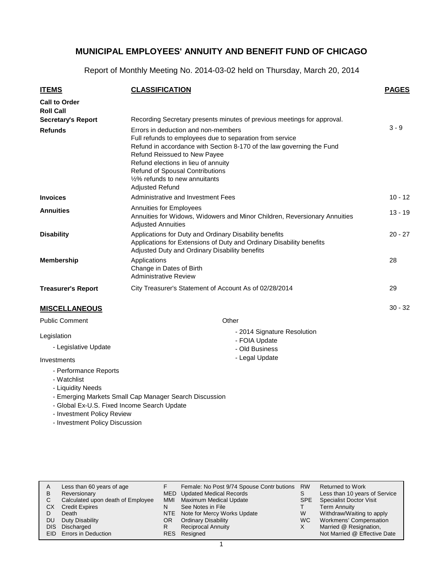Report of Monthly Meeting No. 2014-03-02 held on Thursday, March 20, 2014

| <b>ITEMS</b>                                       | <b>CLASSIFICATION</b>                                                                                                                                                                                                                                                                                                                                 | <b>PAGES</b> |
|----------------------------------------------------|-------------------------------------------------------------------------------------------------------------------------------------------------------------------------------------------------------------------------------------------------------------------------------------------------------------------------------------------------------|--------------|
| <b>Call to Order</b><br><b>Roll Call</b>           |                                                                                                                                                                                                                                                                                                                                                       |              |
| <b>Secretary's Report</b>                          | Recording Secretary presents minutes of previous meetings for approval.                                                                                                                                                                                                                                                                               |              |
| <b>Refunds</b>                                     | Errors in deduction and non-members<br>Full refunds to employees due to separation from service<br>Refund in accordance with Section 8-170 of the law governing the Fund<br>Refund Reissued to New Payee<br>Refund elections in lieu of annuity<br><b>Refund of Spousal Contributions</b><br>1/2% refunds to new annuitants<br><b>Adjusted Refund</b> | $3 - 9$      |
| <b>Invoices</b>                                    | Administrative and Investment Fees                                                                                                                                                                                                                                                                                                                    | $10 - 12$    |
| <b>Annuities</b>                                   | Annuities for Employees<br>Annuities for Widows, Widowers and Minor Children, Reversionary Annuities<br><b>Adjusted Annuities</b>                                                                                                                                                                                                                     | $13 - 19$    |
| <b>Disability</b>                                  | Applications for Duty and Ordinary Disability benefits<br>Applications for Extensions of Duty and Ordinary Disability benefits<br>Adjusted Duty and Ordinary Disability benefits                                                                                                                                                                      | $20 - 27$    |
| <b>Membership</b>                                  | Applications<br>Change in Dates of Birth<br><b>Administrative Review</b>                                                                                                                                                                                                                                                                              | 28           |
| <b>Treasurer's Report</b>                          | City Treasurer's Statement of Account As of 02/28/2014                                                                                                                                                                                                                                                                                                | 29           |
| <b>MISCELLANEOUS</b>                               |                                                                                                                                                                                                                                                                                                                                                       | $30 - 32$    |
| <b>Public Comment</b>                              | Other                                                                                                                                                                                                                                                                                                                                                 |              |
| Legislation<br>- Legislative Update<br>Investments | - 2014 Signature Resolution<br>- FOIA Update<br>- Old Business<br>- Legal Update                                                                                                                                                                                                                                                                      |              |
| - Performance Reports                              |                                                                                                                                                                                                                                                                                                                                                       |              |

- Watchlist
- Liquidity Needs
- Emerging Markets Small Cap Manager Search Discussion
- Global Ex-U.S. Fixed Income Search Update
- Investment Policy Review
- Investment Policy Discussion

| А<br>в | Less than 60 years of age<br>Reversionary |     | Female: No Post 9/74 Spouse Contr butions<br>MED Updated Medical Records | <b>RW</b> | Returned to Work<br>Less than 10 years of Service |
|--------|-------------------------------------------|-----|--------------------------------------------------------------------------|-----------|---------------------------------------------------|
| С      | Calculated upon death of Employee         | MMI | Maximum Medical Update                                                   | SPE.      | <b>Specialist Doctor Visit</b>                    |
| CХ     | <b>Credit Expires</b>                     | N   | See Notes in File                                                        |           | <b>Term Annuity</b>                               |
|        | Death                                     |     | NTE Note for Mercy Works Update                                          | W         | Withdraw/Waiting to apply                         |
| DU     | Duty Disability                           | OR. | <b>Ordinary Disability</b>                                               | WC.       | Workmens' Compensation                            |
| DIS.   | Discharged                                |     | <b>Reciprocal Annuity</b>                                                | X         | Married @ Resignation,                            |
|        | <b>EID</b> Errors in Deduction            |     | RES Resigned                                                             |           | Not Married @ Effective Date                      |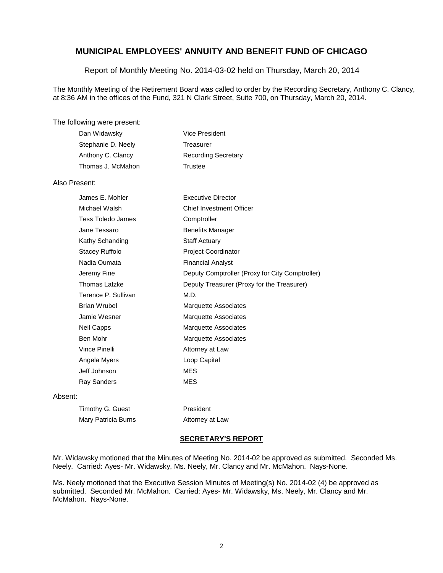Report of Monthly Meeting No. 2014-03-02 held on Thursday, March 20, 2014

The Monthly Meeting of the Retirement Board was called to order by the Recording Secretary, Anthony C. Clancy, at 8:36 AM in the offices of the Fund, 321 N Clark Street, Suite 700, on Thursday, March 20, 2014.

#### The following were present:

| Dan Widawsky       | Vice President             |
|--------------------|----------------------------|
| Stephanie D. Neely | Treasurer                  |
| Anthony C. Clancy  | <b>Recording Secretary</b> |
| Thomas J. McMahon  | Trustee                    |

Timothy G. Guest President Mary Patricia Burns **Attorney** at Law

#### Also Present:

|         | James E. Mohler      | <b>Executive Director</b>                       |
|---------|----------------------|-------------------------------------------------|
|         | Michael Walsh        | <b>Chief Investment Officer</b>                 |
|         | Tess Toledo James    | Comptroller                                     |
|         | Jane Tessaro         | <b>Benefits Manager</b>                         |
|         | Kathy Schanding      | <b>Staff Actuary</b>                            |
|         | Stacey Ruffolo       | <b>Project Coordinator</b>                      |
|         | Nadia Oumata         | Financial Analyst                               |
|         | Jeremy Fine          | Deputy Comptroller (Proxy for City Comptroller) |
|         | <b>Thomas Latzke</b> | Deputy Treasurer (Proxy for the Treasurer)      |
|         | Terence P. Sullivan  | M.D.                                            |
|         | <b>Brian Wrubel</b>  | Marquette Associates                            |
|         | Jamie Wesner         | <b>Marquette Associates</b>                     |
|         | Neil Capps           | Marquette Associates                            |
|         | Ben Mohr             | Marquette Associates                            |
|         | Vince Pinelli        | Attorney at Law                                 |
|         | Angela Myers         | Loop Capital                                    |
|         | Jeff Johnson         | MES                                             |
|         | <b>Ray Sanders</b>   | MES                                             |
| Absent: |                      |                                                 |
|         |                      |                                                 |

#### **SECRETARY'S REPORT**

Mr. Widawsky motioned that the Minutes of Meeting No. 2014-02 be approved as submitted. Seconded Ms. Neely. Carried: Ayes- Mr. Widawsky, Ms. Neely, Mr. Clancy and Mr. McMahon. Nays-None.

Ms. Neely motioned that the Executive Session Minutes of Meeting(s) No. 2014-02 (4) be approved as submitted. Seconded Mr. McMahon. Carried: Ayes- Mr. Widawsky, Ms. Neely, Mr. Clancy and Mr. McMahon. Nays-None.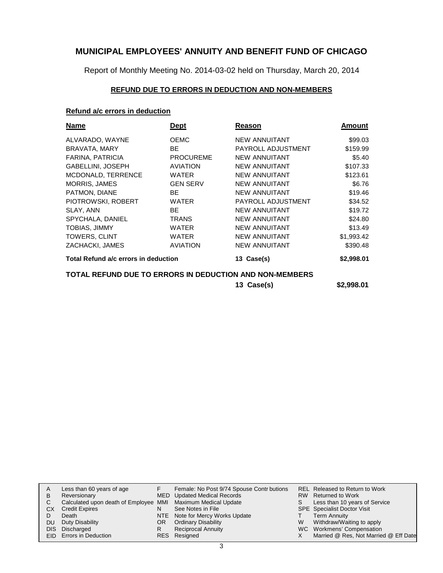Report of Monthly Meeting No. 2014-03-02 held on Thursday, March 20, 2014

### **REFUND DUE TO ERRORS IN DEDUCTION AND NON-MEMBERS**

### **Refund a/c errors in deduction**

| <b>Name</b>                          | Dept                                                    | Reason               | Amount     |  |  |  |
|--------------------------------------|---------------------------------------------------------|----------------------|------------|--|--|--|
| ALVARADO, WAYNE                      | <b>OEMC</b>                                             | <b>NEW ANNUITANT</b> | \$99.03    |  |  |  |
| BRAVATA, MARY                        | BE                                                      | PAYROLL ADJUSTMENT   | \$159.99   |  |  |  |
| FARINA, PATRICIA                     | <b>PROCUREME</b>                                        | <b>NEW ANNUITANT</b> | \$5.40     |  |  |  |
| GABELLINI, JOSEPH                    | <b>AVIATION</b>                                         | <b>NEW ANNUITANT</b> | \$107.33   |  |  |  |
| MCDONALD, TERRENCE                   | <b>WATER</b>                                            | <b>NEW ANNUITANT</b> | \$123.61   |  |  |  |
| <b>MORRIS, JAMES</b>                 | <b>GEN SERV</b>                                         | <b>NEW ANNUITANT</b> | \$6.76     |  |  |  |
| PATMON, DIANE                        | <b>BE</b>                                               | <b>NEW ANNUITANT</b> | \$19.46    |  |  |  |
| PIOTROWSKI, ROBERT                   | <b>WATER</b>                                            | PAYROLL ADJUSTMENT   | \$34.52    |  |  |  |
| SLAY, ANN                            | <b>BE</b>                                               | <b>NEW ANNUITANT</b> | \$19.72    |  |  |  |
| SPYCHALA, DANIEL                     | <b>TRANS</b>                                            | <b>NEW ANNUITANT</b> | \$24.80    |  |  |  |
| <b>TOBIAS, JIMMY</b>                 | <b>WATER</b>                                            | <b>NEW ANNUITANT</b> | \$13.49    |  |  |  |
| <b>TOWERS, CLINT</b>                 | <b>WATER</b>                                            | <b>NEW ANNUITANT</b> | \$1,993.42 |  |  |  |
| ZACHACKI, JAMES                      | <b>AVIATION</b>                                         | <b>NEW ANNUITANT</b> | \$390.48   |  |  |  |
| Total Refund a/c errors in deduction |                                                         | 13 Case(s)           | \$2,998.01 |  |  |  |
|                                      | TOTAL REFUND DUE TO ERRORS IN DEDUCTION AND NON-MEMBERS |                      |            |  |  |  |

**13 Case(s) \$2,998.01**

|      | Less than 60 years of age                                    |     | Female: No Post 9/74 Spouse Contr butions |   | <b>REL Released to Return to Work</b> |
|------|--------------------------------------------------------------|-----|-------------------------------------------|---|---------------------------------------|
| B    | Reversionary                                                 |     | MED Updated Medical Records               |   | RW Returned to Work                   |
|      | Calculated upon death of Employee MMI Maximum Medical Update |     |                                           | S | Less than 10 years of Service         |
| СX   | <b>Credit Expires</b>                                        |     | See Notes in File                         |   | <b>SPE</b> Specialist Doctor Visit    |
|      | Death                                                        |     | NTE Note for Mercy Works Update           |   | <b>Term Annuity</b>                   |
| DU   | Duty Disability                                              | OR. | <b>Ordinary Disability</b>                | W | Withdraw/Waiting to apply             |
| DIS. | Discharged                                                   |     | <b>Reciprocal Annuity</b>                 |   | WC Workmens' Compensation             |
|      | <b>EID</b> Errors in Deduction                               |     | RES Resigned                              |   | Married @ Res, Not Married @ Eff Date |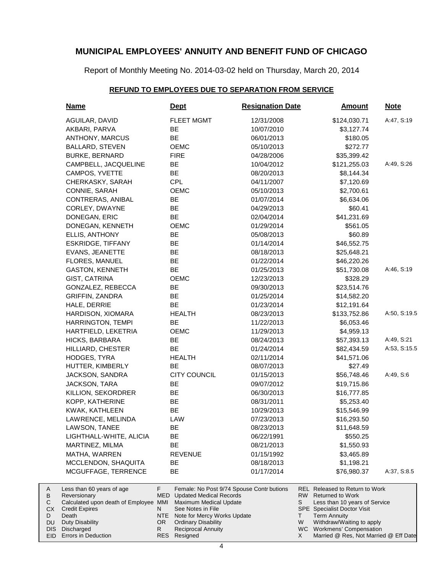Report of Monthly Meeting No. 2014-03-02 held on Thursday, March 20, 2014

#### **REFUND TO EMPLOYEES DUE TO SEPARATION FROM SERVICE**

| <u>Name</u>                                                                                          | <u>Dept</u>    |                                                                               | <b>Resignation Date</b>                   |           | <u>Amount</u>                                                                                                                           | <b>Note</b>  |
|------------------------------------------------------------------------------------------------------|----------------|-------------------------------------------------------------------------------|-------------------------------------------|-----------|-----------------------------------------------------------------------------------------------------------------------------------------|--------------|
| AGUILAR, DAVID                                                                                       |                | <b>FLEET MGMT</b>                                                             | 12/31/2008                                |           | \$124,030.71                                                                                                                            | A:47, S:19   |
| AKBARI, PARVA                                                                                        | BE             |                                                                               | 10/07/2010                                |           | \$3,127.74                                                                                                                              |              |
| ANTHONY, MARCUS                                                                                      | BE             |                                                                               | 06/01/2013                                |           | \$180.05                                                                                                                                |              |
| <b>BALLARD, STEVEN</b>                                                                               | <b>OEMC</b>    |                                                                               | 05/10/2013                                |           | \$272.77                                                                                                                                |              |
| <b>BURKE, BERNARD</b>                                                                                | <b>FIRE</b>    |                                                                               | 04/28/2006                                |           | \$35,399.42                                                                                                                             |              |
| CAMPBELL, JACQUELINE                                                                                 | BE             |                                                                               | 10/04/2012                                |           | \$121,255.03                                                                                                                            | A:49, S:26   |
| CAMPOS, YVETTE                                                                                       | BE             |                                                                               | 08/20/2013                                |           | \$8,144.34                                                                                                                              |              |
| CHERKASKY, SARAH                                                                                     | <b>CPL</b>     |                                                                               | 04/11/2007                                |           | \$7,120.69                                                                                                                              |              |
| CONNIE, SARAH                                                                                        | <b>OEMC</b>    |                                                                               | 05/10/2013                                |           | \$2,700.61                                                                                                                              |              |
| CONTRERAS, ANIBAL                                                                                    | BE             |                                                                               | 01/07/2014                                |           | \$6,634.06                                                                                                                              |              |
| CORLEY, DWAYNE                                                                                       | BE             |                                                                               | 04/29/2013                                |           | \$60.41                                                                                                                                 |              |
| DONEGAN, ERIC                                                                                        | BE             |                                                                               | 02/04/2014                                |           | \$41,231.69                                                                                                                             |              |
| DONEGAN, KENNETH                                                                                     | <b>OEMC</b>    |                                                                               | 01/29/2014                                |           | \$561.05                                                                                                                                |              |
| ELLIS, ANTHONY                                                                                       | BE             |                                                                               | 05/08/2013                                |           | \$60.89                                                                                                                                 |              |
| <b>ESKRIDGE, TIFFANY</b>                                                                             | BE             |                                                                               | 01/14/2014                                |           | \$46,552.75                                                                                                                             |              |
| EVANS, JEANETTE                                                                                      | BE             |                                                                               | 08/18/2013                                |           | \$25,648.21                                                                                                                             |              |
| FLORES, MANUEL                                                                                       | BE             |                                                                               | 01/22/2014                                |           | \$46,220.26                                                                                                                             |              |
| <b>GASTON, KENNETH</b>                                                                               | BE             |                                                                               | 01/25/2013                                |           | \$51,730.08                                                                                                                             | A:46, S:19   |
| GIST, CATRINA                                                                                        | OEMC           |                                                                               | 12/23/2013                                |           | \$328.29                                                                                                                                |              |
| GONZALEZ, REBECCA                                                                                    | BE             |                                                                               | 09/30/2013                                |           | \$23,514.76                                                                                                                             |              |
| <b>GRIFFIN, ZANDRA</b>                                                                               | BE             |                                                                               | 01/25/2014                                |           | \$14,582.20                                                                                                                             |              |
| HALE, DERRIE                                                                                         | BE             |                                                                               | 01/23/2014                                |           | \$12,191.64                                                                                                                             |              |
| HARDISON, XIOMARA                                                                                    |                | <b>HEALTH</b>                                                                 | 08/23/2013                                |           | \$133,752.86                                                                                                                            | A:50, S:19.5 |
| HARRINGTON, TEMPI                                                                                    | BE             |                                                                               | 11/22/2013                                |           | \$6,053.46                                                                                                                              |              |
| HARTFIELD, LEKETRIA                                                                                  | <b>OEMC</b>    |                                                                               | 11/29/2013                                |           | \$4,959.13                                                                                                                              |              |
| HICKS, BARBARA                                                                                       | BE             |                                                                               | 08/24/2013                                |           | \$57,393.13                                                                                                                             | A:49, S:21   |
| HILLIARD, CHESTER                                                                                    | BE             |                                                                               | 01/24/2014                                |           | \$82,434.59                                                                                                                             | A:53, S:15.5 |
| HODGES, TYRA                                                                                         |                | <b>HEALTH</b>                                                                 | 02/11/2014                                |           | \$41,571.06                                                                                                                             |              |
| HUTTER, KIMBERLY                                                                                     | BE             |                                                                               | 08/07/2013                                |           | \$27.49                                                                                                                                 |              |
| JACKSON, SANDRA                                                                                      |                | <b>CITY COUNCIL</b>                                                           | 01/15/2013                                |           | \$56,748.46                                                                                                                             | A:49, S:6    |
| JACKSON, TARA                                                                                        | BE             |                                                                               | 09/07/2012                                |           | \$19,715.86                                                                                                                             |              |
| KILLION, SEKORDRER                                                                                   | BE             |                                                                               | 06/30/2013                                |           | \$16,777.85                                                                                                                             |              |
| KOPP, KATHERINE                                                                                      | BE             |                                                                               | 08/31/2011                                |           | \$5,253.40                                                                                                                              |              |
| KWAK, KATHLEEN                                                                                       | BE             |                                                                               | 10/29/2013                                |           | \$15,546.99                                                                                                                             |              |
| LAWRENCE, MELINDA                                                                                    | LAW            |                                                                               | 07/23/2013                                |           | \$16,293.50                                                                                                                             |              |
| LAWSON, TANEE                                                                                        | BЕ             |                                                                               | 08/23/2013                                |           | \$11,648.59                                                                                                                             |              |
| LIGHTHALL-WHITE, ALICIA                                                                              | BE             |                                                                               | 06/22/1991                                |           | \$550.25                                                                                                                                |              |
| MARTINEZ, MILMA                                                                                      | BE             |                                                                               | 08/21/2013                                |           | \$1,550.93                                                                                                                              |              |
| MATHA, WARREN                                                                                        |                | <b>REVENUE</b>                                                                | 01/15/1992                                |           | \$3,465.89                                                                                                                              |              |
| MCCLENDON, SHAQUITA                                                                                  | BE             |                                                                               | 08/18/2013                                |           | \$1,198.21                                                                                                                              |              |
| MCGUFFAGE, TERRENCE                                                                                  | BE             |                                                                               | 01/17/2014                                |           | \$76,980.37                                                                                                                             | A:37, S:8.5  |
| Less than 60 years of age<br>Reversionary<br>Calculated upon death of Employee MMI<br>Credit Expires | F<br>MED.<br>N | <b>Updated Medical Records</b><br>Maximum Medical Update<br>See Notes in File | Female: No Post 9/74 Spouse Contr butions | RW  <br>S | <b>REL</b> Released to Return to Work<br><b>Returned to Work</b><br>Less than 10 years of Service<br><b>SPE</b> Specialist Doctor Visit |              |
| Death                                                                                                |                | NTE Note for Mercy Works Update                                               |                                           | Τ         | <b>Term Annuity</b>                                                                                                                     |              |

- vorks Update NTE OR
	- Ordinary Disability

Duty Disability Discharged DIS EID Errors in Deduction

A B  $\mathbf C$ CX D DU

Reciprocal Annuity Resigned RES

R

Withdraw/Waiting to apply

W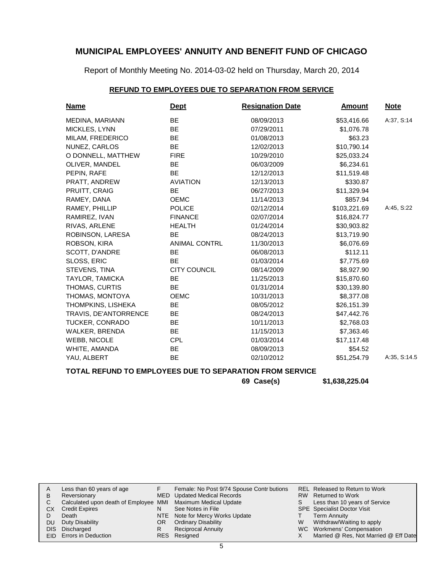Report of Monthly Meeting No. 2014-03-02 held on Thursday, March 20, 2014

### **REFUND TO EMPLOYEES DUE TO SEPARATION FROM SERVICE**

| <b>Name</b>           | <b>Dept</b>          | <b>Resignation Date</b> | <b>Amount</b> | <b>Note</b>  |
|-----------------------|----------------------|-------------------------|---------------|--------------|
| MEDINA, MARIANN       | BE                   | 08/09/2013              | \$53,416.66   | A:37, S:14   |
| MICKLES, LYNN         | BE                   | 07/29/2011              | \$1,076.78    |              |
| MILAM, FREDERICO      | BE                   | 01/08/2013              | \$63.23       |              |
| NUNEZ, CARLOS         | <b>BE</b>            | 12/02/2013              | \$10,790.14   |              |
| O DONNELL, MATTHEW    | <b>FIRE</b>          | 10/29/2010              | \$25,033.24   |              |
| OLIVER, MANDEL        | <b>BE</b>            | 06/03/2009              | \$6,234.61    |              |
| PEPIN, RAFE           | <b>BE</b>            | 12/12/2013              | \$11,519.48   |              |
| PRATT, ANDREW         | <b>AVIATION</b>      | 12/13/2013              | \$330.87      |              |
| PRUITT, CRAIG         | <b>BE</b>            | 06/27/2013              | \$11,329.94   |              |
| RAMEY, DANA           | <b>OEMC</b>          | 11/14/2013              | \$857.94      |              |
| RAMEY, PHILLIP        | <b>POLICE</b>        | 02/12/2014              | \$103,221.69  | A:45, S:22   |
| RAMIREZ, IVAN         | <b>FINANCE</b>       | 02/07/2014              | \$16,824.77   |              |
| RIVAS, ARLENE         | <b>HEALTH</b>        | 01/24/2014              | \$30,903.82   |              |
| ROBINSON, LARESA      | <b>BE</b>            | 08/24/2013              | \$13,719.90   |              |
| ROBSON, KIRA          | <b>ANIMAL CONTRL</b> | 11/30/2013              | \$6,076.69    |              |
| SCOTT, D'ANDRE        | <b>BE</b>            | 06/08/2013              | \$112.11      |              |
| SLOSS, ERIC           | <b>BE</b>            | 01/03/2014              | \$7,775.69    |              |
| STEVENS, TINA         | <b>CITY COUNCIL</b>  | 08/14/2009              | \$8,927.90    |              |
| TAYLOR, TAMICKA       | BE                   | 11/25/2013              | \$15,870.60   |              |
| THOMAS, CURTIS        | <b>BE</b>            | 01/31/2014              | \$30,139.80   |              |
| THOMAS, MONTOYA       | <b>OEMC</b>          | 10/31/2013              | \$8,377.08    |              |
| THOMPKINS, LISHEKA    | <b>BE</b>            | 08/05/2012              | \$26,151.39   |              |
| TRAVIS, DE'ANTORRENCE | <b>BE</b>            | 08/24/2013              | \$47,442.76   |              |
| TUCKER, CONRADO       | BE                   | 10/11/2013              | \$2,768.03    |              |
| WALKER, BRENDA        | <b>BE</b>            | 11/15/2013              | \$7,363.46    |              |
| <b>WEBB, NICOLE</b>   | <b>CPL</b>           | 01/03/2014              | \$17,117.48   |              |
| WHITE, AMANDA         | BE                   | 08/09/2013              | \$54.52       |              |
| YAU, ALBERT           | <b>BE</b>            | 02/10/2012              | \$51,254.79   | A:35, S:14.5 |

### **TOTAL REFUND TO EMPLOYEES DUE TO SEPARATION FROM SERVICE**

**69 Case(s) \$1,638,225.04**

| A<br>в<br>СX | Less than 60 years of age<br>Reversionary<br>Calculated upon death of Employee MMI Maximum Medical Update<br><b>Credit Expires</b> | N   | Female: No Post 9/74 Spouse Contr butions<br>MED Updated Medical Records<br>See Notes in File              | S | REL Released to Return to Work<br>RW Returned to Work<br>Less than 10 years of Service<br><b>SPE</b> Specialist Doctor Visit |
|--------------|------------------------------------------------------------------------------------------------------------------------------------|-----|------------------------------------------------------------------------------------------------------------|---|------------------------------------------------------------------------------------------------------------------------------|
| DU           | Death<br>Duty Disability<br>DIS Discharged<br>EID Errors in Deduction                                                              | OR. | NTE Note for Mercy Works Update<br><b>Ordinary Disability</b><br><b>Reciprocal Annuity</b><br>RES Resigned | W | Term Annuity<br>Withdraw/Waiting to apply<br>WC Workmens' Compensation<br>Married @ Res, Not Married @ Eff Date              |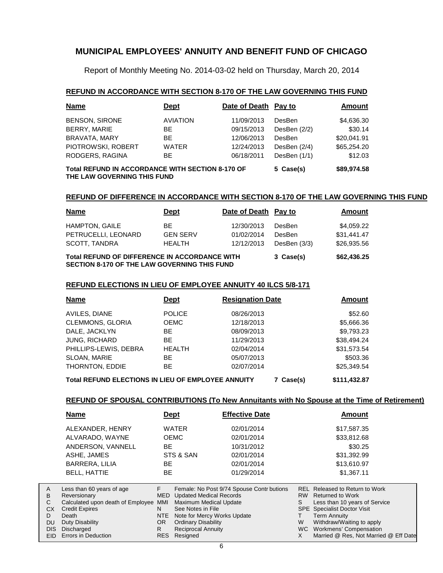Report of Monthly Meeting No. 2014-03-02 held on Thursday, March 20, 2014

#### **REFUND IN ACCORDANCE WITH SECTION 8-170 OF THE LAW GOVERNING THIS FUND**

| <b>Name</b>                                                                     | <b>Dept</b>     | Date of Death Pay to |                | Amount      |
|---------------------------------------------------------------------------------|-----------------|----------------------|----------------|-------------|
| <b>BENSON, SIRONE</b>                                                           | <b>AVIATION</b> | 11/09/2013           | DesBen         | \$4,636.30  |
| BERRY, MARIE                                                                    | BE.             | 09/15/2013           | DesBen $(2/2)$ | \$30.14     |
| BRAVATA, MARY                                                                   | <b>BE</b>       | 12/06/2013           | DesBen         | \$20.041.91 |
| PIOTROWSKI, ROBERT                                                              | <b>WATER</b>    | 12/24/2013           | DesBen (2/4)   | \$65,254.20 |
| RODGERS, RAGINA                                                                 | <b>BE</b>       | 06/18/2011           | DesBen (1/1)   | \$12.03     |
| Total REFUND IN ACCORDANCE WITH SECTION 8-170 OF<br>THE LAW GOVERNING THIS FUND | 5 Case(s)       | \$89,974.58          |                |             |

#### **REFUND OF DIFFERENCE IN ACCORDANCE WITH SECTION 8-170 OF THE LAW GOVERNING THIS FUND**

| <b>Name</b>                                                                                                 | <b>Dept</b>     | Date of Death Pay to |              | Amount      |
|-------------------------------------------------------------------------------------------------------------|-----------------|----------------------|--------------|-------------|
| <b>HAMPTON, GAILE</b>                                                                                       | ВF              | 12/30/2013           | DesBen       | \$4,059.22  |
| PETRUCELLI, LEONARD                                                                                         | <b>GEN SERV</b> | 01/02/2014           | DesBen       | \$31.441.47 |
| SCOTT, TANDRA                                                                                               | <b>HEALTH</b>   | 12/12/2013           | DesBen (3/3) | \$26,935.56 |
| <b>Total REFUND OF DIFFERENCE IN ACCORDANCE WITH</b><br><b>SECTION 8-170 OF THE LAW GOVERNING THIS FUND</b> | 3 Case(s)       | \$62,436.25          |              |             |

#### **REFUND ELECTIONS IN LIEU OF EMPLOYEE ANNUITY 40 ILCS 5/8-171**

| <b>Name</b>                                               | <b>Dept</b>   | <b>Resignation Date</b> | <b>Amount</b> |
|-----------------------------------------------------------|---------------|-------------------------|---------------|
| AVILES, DIANE                                             | <b>POLICE</b> | 08/26/2013              | \$52.60       |
| <b>CLEMMONS, GLORIA</b>                                   | <b>OEMC</b>   | 12/18/2013              | \$5,666.36    |
| DALE, JACKLYN                                             | <b>BE</b>     | 08/09/2013              | \$9,793.23    |
| JUNG, RICHARD                                             | <b>BE</b>     | 11/29/2013              | \$38,494.24   |
| PHILLIPS-LEWIS, DEBRA                                     | <b>HEALTH</b> | 02/04/2014              | \$31,573.54   |
| SLOAN, MARIE                                              | ВE            | 05/07/2013              | \$503.36      |
| THORNTON, EDDIE                                           | <b>BE</b>     | 02/07/2014              | \$25,349.54   |
| <b>Total REFUND ELECTIONS IN LIEU OF EMPLOYEE ANNUITY</b> |               | Case(s)                 | \$111,432.87  |

#### **REFUND OF SPOUSAL CONTRIBUTIONS (To New Annuitants with No Spouse at the Time of Retirement)**

| <b>Name</b>                                                                                                      |                             | <b>Dept</b>                                                                                                         | <b>Effective Date</b>                     |                | Amount                                                                                                                                           |
|------------------------------------------------------------------------------------------------------------------|-----------------------------|---------------------------------------------------------------------------------------------------------------------|-------------------------------------------|----------------|--------------------------------------------------------------------------------------------------------------------------------------------------|
| ALEXANDER, HENRY                                                                                                 |                             | <b>WATER</b>                                                                                                        | 02/01/2014                                |                | \$17,587.35                                                                                                                                      |
| ALVARADO, WAYNE                                                                                                  |                             | <b>OEMC</b>                                                                                                         | 02/01/2014                                |                | \$33,812.68                                                                                                                                      |
| ANDERSON, VANNELL                                                                                                | BE                          |                                                                                                                     | 10/31/2012                                |                | \$30.25                                                                                                                                          |
| ASHE, JAMES                                                                                                      |                             | STS & SAN                                                                                                           | 02/01/2014                                |                | \$31,392.99                                                                                                                                      |
| <b>BARRERA, LILIA</b>                                                                                            | <b>BE</b>                   |                                                                                                                     | 02/01/2014                                |                | \$13,610.97                                                                                                                                      |
| <b>BELL, HATTIE</b>                                                                                              | <b>BE</b>                   |                                                                                                                     | 01/29/2014                                |                | \$1,367.11                                                                                                                                       |
| Less than 60 years of age<br>Reversionary<br>Calculated upon death of Employee<br><b>Credit Expires</b><br>Death | F<br>MED<br>MMI<br>N<br>NTE | <b>Updated Medical Records</b><br><b>Maximum Medical Update</b><br>See Notes in File<br>Note for Mercy Works Update | Female: No Post 9/74 Spouse Contr butions | <b>RW</b><br>S | REL Released to Return to Work<br>Returned to Work<br>Less than 10 years of Service<br><b>SPE</b> Specialist Doctor Visit<br><b>Term Annuity</b> |
| Duty Disability                                                                                                  | <b>OR</b>                   | <b>Ordinary Disability</b>                                                                                          |                                           | W              | Withdraw/Waiting to apply                                                                                                                        |

WC Workmens' Compensation

X Married @ Res, Not Married @ Eff Date

Reciprocal Annuity

Resigned RES

R

Discharged DIS EID Errors in Deduction

A B  $\mathbf C$ CX D DU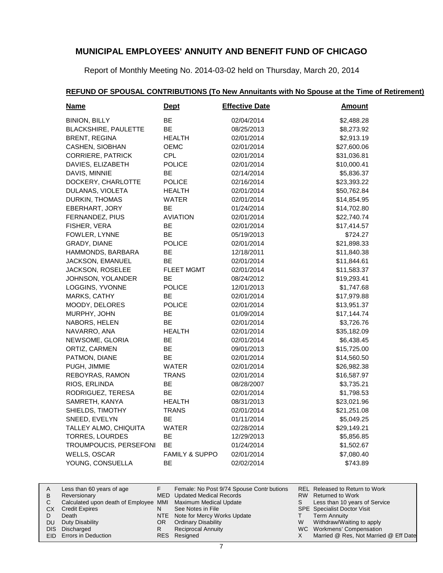Report of Monthly Meeting No. 2014-03-02 held on Thursday, March 20, 2014

| <b>Name</b>                 | <u>Dept</u>               | <b>Effective Date</b> | <b>Amount</b> |
|-----------------------------|---------------------------|-----------------------|---------------|
| <b>BINION, BILLY</b>        | <b>BE</b>                 | 02/04/2014            | \$2,488.28    |
| <b>BLACKSHIRE, PAULETTE</b> | ВE                        | 08/25/2013            | \$8,273.92    |
| <b>BRENT, REGINA</b>        | <b>HEALTH</b>             | 02/01/2014            | \$2,913.19    |
| CASHEN, SIOBHAN             | OEMC                      | 02/01/2014            | \$27,600.06   |
| <b>CORRIERE, PATRICK</b>    | <b>CPL</b>                | 02/01/2014            | \$31,036.81   |
| DAVIES, ELIZABETH           | <b>POLICE</b>             | 02/01/2014            | \$10,000.41   |
| DAVIS, MINNIE               | BE.                       | 02/14/2014            | \$5,836.37    |
| DOCKERY, CHARLOTTE          | <b>POLICE</b>             | 02/16/2014            | \$23,393.22   |
| DULANAS, VIOLETA            | <b>HEALTH</b>             | 02/01/2014            | \$50,762.84   |
| DURKIN, THOMAS              | <b>WATER</b>              | 02/01/2014            | \$14,854.95   |
| EBERHART, JORY              | BE                        | 01/24/2014            | \$14,702.80   |
| FERNANDEZ, PIUS             | AVIATION                  | 02/01/2014            | \$22,740.74   |
| FISHER, VERA                | BE                        | 02/01/2014            | \$17,414.57   |
| FOWLER, LYNNE               | BE                        | 05/19/2013            | \$724.27      |
| GRADY, DIANE                | <b>POLICE</b>             | 02/01/2014            | \$21,898.33   |
| HAMMONDS, BARBARA           | ВE                        | 12/18/2011            | \$11,840.38   |
| JACKSON, EMANUEL            | <b>BE</b>                 | 02/01/2014            | \$11,844.61   |
| JACKSON, ROSELEE            | <b>FLEET MGMT</b>         | 02/01/2014            | \$11,583.37   |
| JOHNSON, YOLANDER           | <b>BE</b>                 | 08/24/2012            | \$19,293.41   |
| LOGGINS, YVONNE             | <b>POLICE</b>             | 12/01/2013            | \$1,747.68    |
| MARKS, CATHY                | BE.                       | 02/01/2014            | \$17,979.88   |
| MOODY, DELORES              | <b>POLICE</b>             | 02/01/2014            | \$13,951.37   |
| MURPHY, JOHN                | BE                        | 01/09/2014            | \$17,144.74   |
| NABORS, HELEN               | BE                        | 02/01/2014            | \$3,726.76    |
| NAVARRO, ANA                | HEALTH                    | 02/01/2014            | \$35,182.09   |
| NEWSOME, GLORIA             | ВE                        | 02/01/2014            | \$6,438.45    |
| ORTIZ, CARMEN               | BЕ                        | 09/01/2013            | \$15,725.00   |
| PATMON, DIANE               | BE.                       | 02/01/2014            | \$14,560.50   |
| PUGH, JIMMIE                | WATER                     | 02/01/2014            | \$26,982.38   |
| REBOYRAS, RAMON             | <b>TRANS</b>              | 02/01/2014            | \$16,587.97   |
| RIOS, ERLINDA               | ВE                        | 08/28/2007            | \$3,735.21    |
| RODRIGUEZ, TERESA           | <b>BE</b>                 | 02/01/2014            | \$1,798.53    |
| SAMRETH, KANYA              | <b>HEALTH</b>             | 08/31/2013            | \$23,021.96   |
| SHIELDS, TIMOTHY            | <b>TRANS</b>              | 02/01/2014            | \$21,251.08   |
| SNEED, EVELYN               | BE                        | 01/11/2014            | \$5,049.25    |
| TALLEY ALMO, CHIQUITA       | WATER                     | 02/28/2014            | \$29,149.21   |
| TORRES, LOURDES             | BE                        | 12/29/2013            | \$5,856.85    |
| TROUMPOUCIS, PERSEFONI      | BE                        | 01/24/2014            | \$1,502.67    |
| WELLS, OSCAR                | <b>FAMILY &amp; SUPPO</b> | 02/01/2014            | \$7,080.40    |
| YOUNG, CONSUELLA            | ВE                        | 02/02/2014            | \$743.89      |

# **REFUND OF SPOUSAL CONTRIBUTIONS (To New Annuitants with No Spouse at the Time of Retirement)**

| A |    | Less than 60 years of age                                    |     | Female: No Post 9/74 Spouse Contr butions |    | REL Released to Return to Work        |
|---|----|--------------------------------------------------------------|-----|-------------------------------------------|----|---------------------------------------|
| B |    | Reversionary                                                 |     | <b>MED</b> Updated Medical Records        |    | RW Returned to Work                   |
|   |    | Calculated upon death of Employee MMI Maximum Medical Update |     |                                           | S. | Less than 10 years of Service         |
|   | CХ | <b>Credit Expires</b>                                        | N   | See Notes in File                         |    | SPE Specialist Doctor Visit           |
|   |    | Death                                                        |     | NTE Note for Mercy Works Update           |    | Term Annuity                          |
|   |    | DU Duty Disability                                           | OR. | <b>Ordinary Disability</b>                | W  | Withdraw/Waiting to apply             |
|   |    | DIS Discharged                                               | R   | <b>Reciprocal Annuity</b>                 |    | WC Workmens' Compensation             |
|   |    | EID Errors in Deduction                                      |     | RES Resigned                              |    | Married @ Res, Not Married @ Eff Date |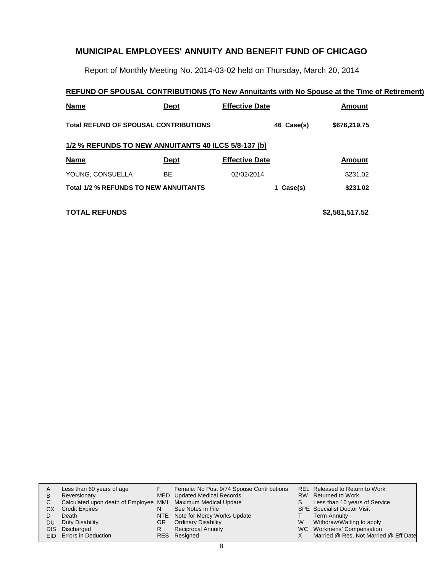Report of Monthly Meeting No. 2014-03-02 held on Thursday, March 20, 2014

### **REFUND OF SPOUSAL CONTRIBUTIONS (To New Annuitants with No Spouse at the Time of Retirement)**

| Name                                                | Dept        | <b>Effective Date</b> | Amount       |  |  |  |  |  |  |
|-----------------------------------------------------|-------------|-----------------------|--------------|--|--|--|--|--|--|
| <b>Total REFUND OF SPOUSAL CONTRIBUTIONS</b>        |             | 46 Case(s)            | \$676,219.75 |  |  |  |  |  |  |
| 1/2 % REFUNDS TO NEW ANNUITANTS 40 ILCS 5/8-137 (b) |             |                       |              |  |  |  |  |  |  |
| <b>Name</b>                                         | <b>Dept</b> | <b>Effective Date</b> | Amount       |  |  |  |  |  |  |
| YOUNG, CONSUELLA                                    | BE          | 02/02/2014            | \$231.02     |  |  |  |  |  |  |
| <b>Total 1/2 % REFUNDS TO NEW ANNUITANTS</b>        |             | 1 Case(s)             | \$231.02     |  |  |  |  |  |  |
|                                                     |             |                       |              |  |  |  |  |  |  |

### **TOTAL REFUNDS \$2,581,517.52**

| A  | Less than 60 years of age                                    |     | Female: No Post 9/74 Spouse Contr butions |    | REL Released to Return to Work        |
|----|--------------------------------------------------------------|-----|-------------------------------------------|----|---------------------------------------|
| В  | Reversionary                                                 |     | MED Updated Medical Records               |    | RW Returned to Work                   |
|    | Calculated upon death of Employee MMI Maximum Medical Update |     |                                           | S. | Less than 10 years of Service         |
| СX | <b>Credit Expires</b>                                        | N   | See Notes in File                         |    | <b>SPE</b> Specialist Doctor Visit    |
|    | Death                                                        |     | NTE Note for Mercy Works Update           |    | Term Annuity                          |
| DU | Duty Disability                                              | OR. | <b>Ordinary Disability</b>                | W  | Withdraw/Waiting to apply             |
|    | DIS Discharged                                               | R   | <b>Reciprocal Annuity</b>                 |    | WC Workmens' Compensation             |
|    | <b>EID</b> Errors in Deduction                               |     | RES Resigned                              |    | Married @ Res, Not Married @ Eff Date |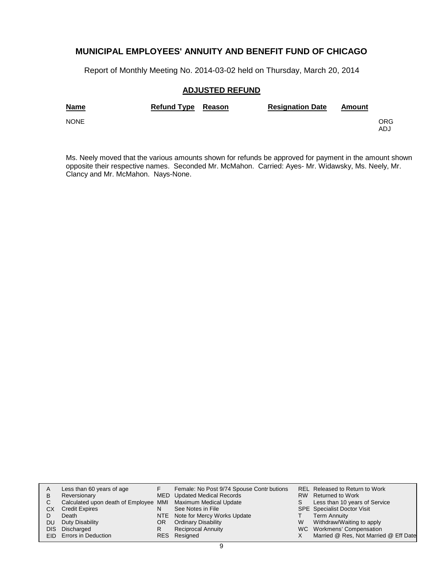Report of Monthly Meeting No. 2014-03-02 held on Thursday, March 20, 2014

### **ADJUSTED REFUND**

| <b>Name</b> | Refund Type Reason | <b>Resignation Date</b> | Amount |            |
|-------------|--------------------|-------------------------|--------|------------|
| <b>NONE</b> |                    |                         |        | ORG<br>ADJ |

Ms. Neely moved that the various amounts shown for refunds be approved for payment in the amount shown opposite their respective names. Seconded Mr. McMahon. Carried: Ayes- Mr. Widawsky, Ms. Neely, Mr. Clancy and Mr. McMahon. Nays-None.

| A    | Less than 60 years of age                                    |    | Female: No Post 9/74 Spouse Contr butions |   | REL Released to Return to Work        |
|------|--------------------------------------------------------------|----|-------------------------------------------|---|---------------------------------------|
| в    | Reversionary                                                 |    | MED Updated Medical Records               |   | RW Returned to Work                   |
| С    | Calculated upon death of Employee MMI Maximum Medical Update |    |                                           | S | Less than 10 years of Service         |
| CХ   | <b>Credit Expires</b>                                        | N  | See Notes in File                         |   | <b>SPE</b> Specialist Doctor Visit    |
|      | Death                                                        |    | NTE Note for Mercy Works Update           |   | <b>Term Annuity</b>                   |
| DU   | Duty Disability                                              | OR | <b>Ordinary Disability</b>                | W | Withdraw/Waiting to apply             |
| DIS. | Discharged                                                   | R  | <b>Reciprocal Annuity</b>                 |   | WC Workmens' Compensation             |
|      | EID Errors in Deduction                                      |    | RES Resigned                              |   | Married @ Res, Not Married @ Eff Date |
|      |                                                              |    |                                           |   |                                       |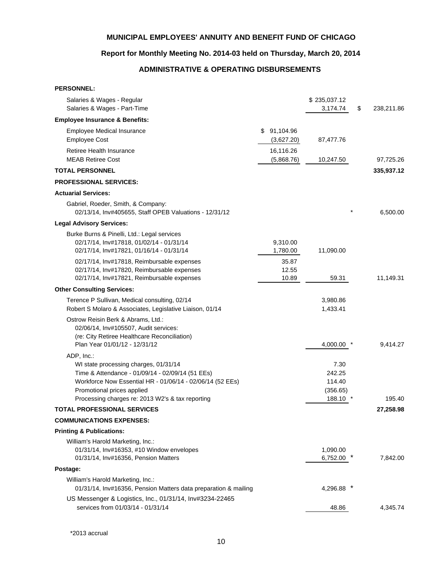### **Report for Monthly Meeting No. 2014-03 held on Thursday, March 20, 2014**

# **ADMINISTRATIVE & OPERATING DISBURSEMENTS**

| <b>PERSONNEL:</b>                                                                                                                                                                                                                                      |                           |                                                |                  |
|--------------------------------------------------------------------------------------------------------------------------------------------------------------------------------------------------------------------------------------------------------|---------------------------|------------------------------------------------|------------------|
| Salaries & Wages - Regular<br>Salaries & Wages - Part-Time                                                                                                                                                                                             |                           | \$235,037.12<br>3,174.74                       | \$<br>238,211.86 |
| <b>Employee Insurance &amp; Benefits:</b>                                                                                                                                                                                                              |                           |                                                |                  |
| <b>Employee Medical Insurance</b><br><b>Employee Cost</b>                                                                                                                                                                                              | \$91,104.96<br>(3,627.20) | 87,477.76                                      |                  |
| Retiree Health Insurance<br><b>MEAB Retiree Cost</b>                                                                                                                                                                                                   | 16,116.26<br>(5,868.76)   | 10,247.50                                      | 97,725.26        |
| <b>TOTAL PERSONNEL</b>                                                                                                                                                                                                                                 |                           |                                                | 335,937.12       |
| <b>PROFESSIONAL SERVICES:</b>                                                                                                                                                                                                                          |                           |                                                |                  |
| <b>Actuarial Services:</b>                                                                                                                                                                                                                             |                           |                                                |                  |
| Gabriel, Roeder, Smith, & Company:<br>02/13/14, Inv#405655, Staff OPEB Valuations - 12/31/12                                                                                                                                                           |                           |                                                | 6,500.00         |
| <b>Legal Advisory Services:</b>                                                                                                                                                                                                                        |                           |                                                |                  |
| Burke Burns & Pinelli, Ltd.: Legal services<br>02/17/14, Inv#17818, 01/02/14 - 01/31/14<br>02/17/14, Inv#17821, 01/16/14 - 01/31/14                                                                                                                    | 9,310.00<br>1,780.00      | 11,090.00                                      |                  |
| 02/17/14, Inv#17818, Reimbursable expenses<br>02/17/14, Inv#17820, Reimbursable expenses<br>02/17/14, Inv#17821, Reimbursable expenses                                                                                                                 | 35.87<br>12.55<br>10.89   | 59.31                                          | 11,149.31        |
| <b>Other Consulting Services:</b>                                                                                                                                                                                                                      |                           |                                                |                  |
| Terence P Sullivan, Medical consulting, 02/14<br>Robert S Molaro & Associates, Legislative Liaison, 01/14                                                                                                                                              |                           | 3,980.86<br>1,433.41                           |                  |
| Ostrow Reisin Berk & Abrams, Ltd.:<br>02/06/14, Inv#105507, Audit services:<br>(re: City Retiree Healthcare Reconciliation)<br>Plan Year 01/01/12 - 12/31/12                                                                                           |                           |                                                |                  |
|                                                                                                                                                                                                                                                        |                           | 4,000.00 *                                     | 9,414.27         |
| ADP, Inc.:<br>WI state processing charges, 01/31/14<br>Time & Attendance - 01/09/14 - 02/09/14 (51 EEs)<br>Workforce Now Essential HR - 01/06/14 - 02/06/14 (52 EEs)<br>Promotional prices applied<br>Processing charges re: 2013 W2's & tax reporting |                           | 7.30<br>242.25<br>114.40<br>(356.65)<br>188.10 | 195.40           |
| <b>TOTAL PROFESSIONAL SERVICES</b>                                                                                                                                                                                                                     |                           |                                                | 27,258.98        |
| <b>COMMUNICATIONS EXPENSES:</b>                                                                                                                                                                                                                        |                           |                                                |                  |
| <b>Printing &amp; Publications:</b>                                                                                                                                                                                                                    |                           |                                                |                  |
| William's Harold Marketing, Inc.:<br>01/31/14, Inv#16353, #10 Window envelopes<br>01/31/14, Inv#16356, Pension Matters                                                                                                                                 |                           | 1,090.00<br>6,752.00                           | 7,842.00         |
| Postage:                                                                                                                                                                                                                                               |                           |                                                |                  |
| William's Harold Marketing, Inc.:<br>01/31/14, Inv#16356, Pension Matters data preparation & mailing                                                                                                                                                   |                           | 4,296.88                                       |                  |
| US Messenger & Logistics, Inc., 01/31/14, Inv#3234-22465<br>services from 01/03/14 - 01/31/14                                                                                                                                                          |                           | 48.86                                          | 4,345.74         |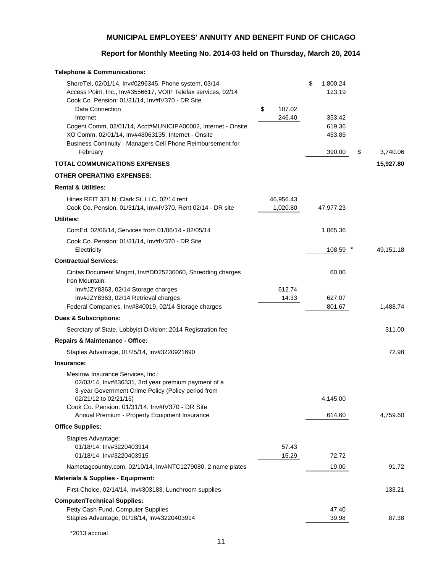# **Report for Monthly Meeting No. 2014-03 held on Thursday, March 20, 2014**

| <b>Telephone &amp; Communications:</b>                                                                                                                                                                                                                                                                                                                                                                   |                        |                                                                  |                |
|----------------------------------------------------------------------------------------------------------------------------------------------------------------------------------------------------------------------------------------------------------------------------------------------------------------------------------------------------------------------------------------------------------|------------------------|------------------------------------------------------------------|----------------|
| ShoreTel, 02/01/14, Inv#0296345, Phone system, 03/14<br>Access Point, Inc., Inv#3556617, VOIP Telefax services, 02/14<br>Cook Co. Pension: 01/31/14, Inv#IV370 - DR Site<br>Data Connection<br>Internet<br>Cogent Comm, 02/01/14, Acct#MUNICIPA00002, Internet - Onsite<br>XO Comm, 02/01/14, Inv#48063135, Internet - Onsite<br>Business Continuity - Managers Cell Phone Reimbursement for<br>February | \$<br>107.02<br>246.40 | \$<br>1,800.24<br>123.19<br>353.42<br>619.36<br>453.85<br>390.00 | \$<br>3,740.06 |
| <b>TOTAL COMMUNICATIONS EXPENSES</b>                                                                                                                                                                                                                                                                                                                                                                     |                        |                                                                  | 15,927.80      |
| <b>OTHER OPERATING EXPENSES:</b>                                                                                                                                                                                                                                                                                                                                                                         |                        |                                                                  |                |
| <b>Rental &amp; Utilities:</b>                                                                                                                                                                                                                                                                                                                                                                           |                        |                                                                  |                |
| Hines REIT 321 N. Clark St. LLC, 02/14 rent<br>Cook Co. Pension, 01/31/14, Inv#IV370, Rent 02/14 - DR site                                                                                                                                                                                                                                                                                               | 46,956.43<br>1,020.80  | 47,977.23                                                        |                |
| <b>Utilities:</b>                                                                                                                                                                                                                                                                                                                                                                                        |                        |                                                                  |                |
| ComEd, 02/06/14, Services from 01/06/14 - 02/05/14                                                                                                                                                                                                                                                                                                                                                       |                        | 1,065.36                                                         |                |
| Cook Co. Pension: 01/31/14, Inv#IV370 - DR Site<br>Electricity                                                                                                                                                                                                                                                                                                                                           |                        | 108.59                                                           | 49,151.18      |
| <b>Contractual Services:</b>                                                                                                                                                                                                                                                                                                                                                                             |                        |                                                                  |                |
| Cintas Document Mngmt, Inv#DD25236060, Shredding charges<br>Iron Mountain:<br>Inv#JZY8363, 02/14 Storage charges<br>Inv#JZY8363, 02/14 Retrieval charges<br>Federal Companies, Inv#840019, 02/14 Storage charges                                                                                                                                                                                         | 612.74<br>14.33        | 60.00<br>627.07<br>801.67                                        | 1,488.74       |
| <b>Dues &amp; Subscriptions:</b>                                                                                                                                                                                                                                                                                                                                                                         |                        |                                                                  |                |
| Secretary of State, Lobbyist Division: 2014 Registration fee                                                                                                                                                                                                                                                                                                                                             |                        |                                                                  | 311.00         |
| Repairs & Maintenance - Office:                                                                                                                                                                                                                                                                                                                                                                          |                        |                                                                  |                |
| Staples Advantage, 01/25/14, Inv#3220921690                                                                                                                                                                                                                                                                                                                                                              |                        |                                                                  | 72.98          |
| Insurance:                                                                                                                                                                                                                                                                                                                                                                                               |                        |                                                                  |                |
| Mesirow Insurance Services, Inc.:<br>02/03/14, Inv#836331, 3rd year premium payment of a<br>3-year Government Crime Policy (Policy period from<br>02/21/12 to 02/21/15)<br>Cook Co. Pension: 01/31/14, Inv#IV370 - DR Site<br>Annual Premium - Property Equipment Insurance                                                                                                                              |                        | 4,145.00<br>614.60                                               | 4,759.60       |
| <b>Office Supplies:</b>                                                                                                                                                                                                                                                                                                                                                                                  |                        |                                                                  |                |
| Staples Advantage:<br>01/18/14, Inv#3220403914<br>01/18/14, Inv#3220403915                                                                                                                                                                                                                                                                                                                               | 57.43<br>15.29         | 72.72                                                            |                |
| Nametagcountry.com, 02/10/14, Inv#NTC1279080, 2 name plates                                                                                                                                                                                                                                                                                                                                              |                        | 19.00                                                            | 91.72          |
| <b>Materials &amp; Supplies - Equipment:</b>                                                                                                                                                                                                                                                                                                                                                             |                        |                                                                  |                |
| First Choice, 02/14/14, Inv#303183, Lunchroom supplies                                                                                                                                                                                                                                                                                                                                                   |                        |                                                                  | 133.21         |
| <b>Computer/Technical Supplies:</b><br>Petty Cash Fund, Computer Supplies<br>Staples Advantage, 01/18/14, Inv#3220403914                                                                                                                                                                                                                                                                                 |                        | 47.40<br>39.98                                                   | 87.38          |

\*2013 accrual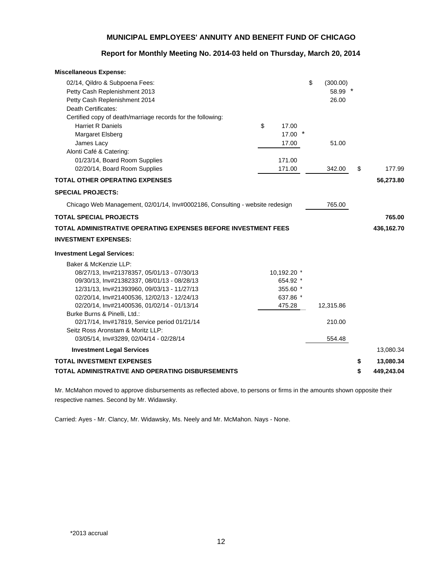### **Report for Monthly Meeting No. 2014-03 held on Thursday, March 20, 2014**

| <b>Miscellaneous Expense:</b>                                                     |             |                |                  |
|-----------------------------------------------------------------------------------|-------------|----------------|------------------|
| 02/14, Qildro & Subpoena Fees:                                                    |             | \$<br>(300.00) |                  |
| Petty Cash Replenishment 2013                                                     |             | 58.99 *        |                  |
| Petty Cash Replenishment 2014                                                     |             | 26.00          |                  |
| Death Certificates:                                                               |             |                |                  |
| Certified copy of death/marriage records for the following:                       |             |                |                  |
| <b>Harriet R Daniels</b>                                                          | \$<br>17.00 |                |                  |
| Margaret Elsberg                                                                  | 17.00       |                |                  |
| James Lacy                                                                        | 17.00       | 51.00          |                  |
| Alonti Café & Catering:                                                           |             |                |                  |
| 01/23/14, Board Room Supplies                                                     | 171.00      |                |                  |
| 02/20/14, Board Room Supplies                                                     | 171.00      | 342.00         | \$<br>177.99     |
| <b>TOTAL OTHER OPERATING EXPENSES</b>                                             |             |                | 56,273.80        |
| <b>SPECIAL PROJECTS:</b>                                                          |             |                |                  |
| Chicago Web Management, 02/01/14, Inv#0002186, Consulting - website redesign      |             | 765.00         |                  |
| <b>TOTAL SPECIAL PROJECTS</b>                                                     |             |                | 765.00           |
| TOTAL ADMINISTRATIVE OPERATING EXPENSES BEFORE INVESTMENT FEES                    |             |                | 436,162.70       |
| <b>INVESTMENT EXPENSES:</b>                                                       |             |                |                  |
| <b>Investment Legal Services:</b>                                                 |             |                |                  |
| Baker & McKenzie LLP:                                                             |             |                |                  |
| 08/27/13, Inv#21378357, 05/01/13 - 07/30/13                                       | 10,192.20 * |                |                  |
| 09/30/13, Inv#21382337, 08/01/13 - 08/28/13                                       | 654.92 *    |                |                  |
| 12/31/13, Inv#21393960, 09/03/13 - 11/27/13                                       | 355.60 *    |                |                  |
| 02/20/14, Inv#21400536, 12/02/13 - 12/24/13                                       | 637.86 *    |                |                  |
| 02/20/14, Inv#21400536, 01/02/14 - 01/13/14                                       | 475.28      | 12,315.86      |                  |
| Burke Burns & Pinelli, Ltd.:                                                      |             |                |                  |
| 02/17/14, Inv#17819, Service period 01/21/14<br>Seitz Ross Aronstam & Moritz LLP: |             | 210.00         |                  |
| 03/05/14, Inv#3289, 02/04/14 - 02/28/14                                           |             | 554.48         |                  |
| <b>Investment Legal Services</b>                                                  |             |                | 13,080.34        |
| <b>TOTAL INVESTMENT EXPENSES</b>                                                  |             |                | \$<br>13,080.34  |
| TOTAL ADMINISTRATIVE AND OPERATING DISBURSEMENTS                                  |             |                | \$<br>449,243.04 |

Mr. McMahon moved to approve disbursements as reflected above, to persons or firms in the amounts shown opposite their respective names. Second by Mr. Widawsky.

Carried: Ayes - Mr. Clancy, Mr. Widawsky, Ms. Neely and Mr. McMahon. Nays - None.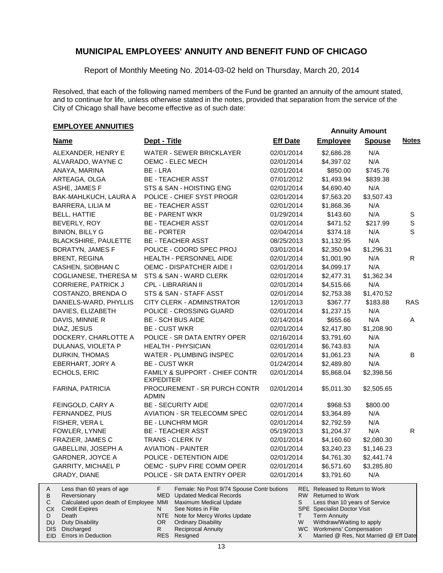Report of Monthly Meeting No. 2014-03-02 held on Thursday, March 20, 2014

Resolved, that each of the following named members of the Fund be granted an annuity of the amount stated, and to continue for life, unless otherwise stated in the notes, provided that separation from the service of the City of Chicago shall have become effective as of such date:

# **EMPLOYEE ANNUITIES**<br> **EMPLOYEE ANNUITIES**

| <b>Name</b><br>ALEXANDER, HENRY E<br>ALVARADO, WAYNE C<br>ANAYA, MARINA                                                                                                                                                        | Dept - Title<br><b>WATER - SEWER BRICKLAYER</b><br>OEMC - ELEC MECH                                                                                                                                                                                                    | <b>Eff Date</b><br>02/01/2014 | <b>Employee</b><br>\$2,686.28                                                                                                                                                                                                                          | <b>Spouse</b><br>N/A | <b>Notes</b> |
|--------------------------------------------------------------------------------------------------------------------------------------------------------------------------------------------------------------------------------|------------------------------------------------------------------------------------------------------------------------------------------------------------------------------------------------------------------------------------------------------------------------|-------------------------------|--------------------------------------------------------------------------------------------------------------------------------------------------------------------------------------------------------------------------------------------------------|----------------------|--------------|
|                                                                                                                                                                                                                                |                                                                                                                                                                                                                                                                        |                               |                                                                                                                                                                                                                                                        |                      |              |
|                                                                                                                                                                                                                                |                                                                                                                                                                                                                                                                        |                               |                                                                                                                                                                                                                                                        |                      |              |
|                                                                                                                                                                                                                                |                                                                                                                                                                                                                                                                        | 02/01/2014                    | \$4,397.02                                                                                                                                                                                                                                             | N/A                  |              |
|                                                                                                                                                                                                                                | BE - LRA                                                                                                                                                                                                                                                               | 02/01/2014                    | \$850.00                                                                                                                                                                                                                                               | \$745.76             |              |
| ARTEAGA, OLGA                                                                                                                                                                                                                  | <b>BE - TEACHER ASST</b>                                                                                                                                                                                                                                               | 07/01/2012                    | \$1,493.94                                                                                                                                                                                                                                             | \$839.38             |              |
| ASHE, JAMES F                                                                                                                                                                                                                  | STS & SAN - HOISTING ENG                                                                                                                                                                                                                                               | 02/01/2014                    | \$4,690.40                                                                                                                                                                                                                                             | N/A                  |              |
| BAK-MAHLKUCH, LAURA A                                                                                                                                                                                                          | POLICE - CHIEF SYST PROGR                                                                                                                                                                                                                                              | 02/01/2014                    | \$7,563.20                                                                                                                                                                                                                                             | \$3,507.43           |              |
| <b>BARRERA, LILIA M</b>                                                                                                                                                                                                        | <b>BE - TEACHER ASST</b>                                                                                                                                                                                                                                               | 02/01/2014                    | \$1,868.36                                                                                                                                                                                                                                             | N/A                  |              |
| <b>BELL, HATTIE</b>                                                                                                                                                                                                            | <b>BE - PARENT WKR</b>                                                                                                                                                                                                                                                 | 01/29/2014                    | \$143.60                                                                                                                                                                                                                                               | N/A                  | S            |
| BEVERLY, ROY                                                                                                                                                                                                                   | <b>BE - TEACHER ASST</b>                                                                                                                                                                                                                                               | 02/01/2014                    | \$471.52                                                                                                                                                                                                                                               | \$217.99             | $\mathbb S$  |
| <b>BINION, BILLY G</b>                                                                                                                                                                                                         | <b>BE - PORTER</b>                                                                                                                                                                                                                                                     | 02/04/2014                    | \$374.18                                                                                                                                                                                                                                               | N/A                  | S            |
| <b>BLACKSHIRE, PAULETTE</b>                                                                                                                                                                                                    | <b>BE - TEACHER ASST</b>                                                                                                                                                                                                                                               | 08/25/2013                    | \$1,132.95                                                                                                                                                                                                                                             | N/A                  |              |
| <b>BORATYN, JAMES F</b>                                                                                                                                                                                                        | POLICE - COORD SPEC PROJ                                                                                                                                                                                                                                               | 03/01/2014                    | \$2,350.94                                                                                                                                                                                                                                             | \$1,296.31           |              |
| <b>BRENT, REGINA</b>                                                                                                                                                                                                           | HEALTH - PERSONNEL AIDE                                                                                                                                                                                                                                                | 02/01/2014                    | \$1,001.90                                                                                                                                                                                                                                             | N/A                  | R            |
| CASHEN, SIOBHAN C                                                                                                                                                                                                              | OEMC - DISPATCHER AIDE I                                                                                                                                                                                                                                               | 02/01/2014                    | \$4,099.17                                                                                                                                                                                                                                             | N/A                  |              |
| COGLIANESE, THERESA M                                                                                                                                                                                                          | STS & SAN - WARD CLERK                                                                                                                                                                                                                                                 | 02/01/2014                    | \$2,477.31                                                                                                                                                                                                                                             | \$1,362.34           |              |
| <b>CORRIERE, PATRICK J</b>                                                                                                                                                                                                     | CPL - LIBRARIAN II                                                                                                                                                                                                                                                     | 02/01/2014                    | \$4,515.66                                                                                                                                                                                                                                             | N/A                  |              |
| COSTANZO, BRENDA O                                                                                                                                                                                                             | STS & SAN - STAFF ASST                                                                                                                                                                                                                                                 | 02/01/2014                    | \$2,753.38                                                                                                                                                                                                                                             | \$1,470.52           |              |
| DANIELS-WARD, PHYLLIS                                                                                                                                                                                                          | CITY CLERK - ADMINSTRATOR                                                                                                                                                                                                                                              | 12/01/2013                    | \$367.77                                                                                                                                                                                                                                               | \$183.88             | <b>RAS</b>   |
| DAVIES, ELIZABETH                                                                                                                                                                                                              | POLICE - CROSSING GUARD                                                                                                                                                                                                                                                | 02/01/2014                    | \$1,237.15                                                                                                                                                                                                                                             | N/A                  |              |
| DAVIS, MINNIE R                                                                                                                                                                                                                | <b>BE - SCH BUS AIDE</b>                                                                                                                                                                                                                                               | 02/14/2014                    | \$655.66                                                                                                                                                                                                                                               | N/A                  | A            |
| DIAZ, JESUS                                                                                                                                                                                                                    | <b>BE - CUST WKR</b>                                                                                                                                                                                                                                                   | 02/01/2014                    | \$2,417.80                                                                                                                                                                                                                                             | \$1,208.90           |              |
| DOCKERY, CHARLOTTE A                                                                                                                                                                                                           | POLICE - SR DATA ENTRY OPER                                                                                                                                                                                                                                            | 02/16/2014                    | \$3,791.60                                                                                                                                                                                                                                             | N/A                  |              |
| DULANAS, VIOLETA P                                                                                                                                                                                                             | <b>HEALTH - PHYSICIAN</b>                                                                                                                                                                                                                                              | 02/01/2014                    | \$6,743.83                                                                                                                                                                                                                                             | N/A                  |              |
| DURKIN, THOMAS                                                                                                                                                                                                                 | WATER - PLUMBING INSPEC                                                                                                                                                                                                                                                | 02/01/2014                    | \$1,061.23                                                                                                                                                                                                                                             | N/A                  | B            |
| EBERHART, JORY A                                                                                                                                                                                                               | <b>BE - CUST WKR</b>                                                                                                                                                                                                                                                   | 01/24/2014                    | \$2,489.80                                                                                                                                                                                                                                             | N/A                  |              |
| ECHOLS, ERIC                                                                                                                                                                                                                   | FAMILY & SUPPORT - CHIEF CONTR<br><b>EXPEDITER</b>                                                                                                                                                                                                                     | 02/01/2014                    | \$5,868.04                                                                                                                                                                                                                                             | \$2,398.56           |              |
| FARINA, PATRICIA                                                                                                                                                                                                               | PROCUREMENT - SR PURCH CONTR<br><b>ADMIN</b>                                                                                                                                                                                                                           | 02/01/2014                    | \$5,011.30                                                                                                                                                                                                                                             | \$2,505.65           |              |
| FEINGOLD, CARY A                                                                                                                                                                                                               | <b>BE - SECURITY AIDE</b>                                                                                                                                                                                                                                              | 02/07/2014                    | \$968.53                                                                                                                                                                                                                                               | \$800.00             |              |
| FERNANDEZ, PIUS                                                                                                                                                                                                                | AVIATION - SR TELECOMM SPEC                                                                                                                                                                                                                                            | 02/01/2014                    | \$3,364.89                                                                                                                                                                                                                                             | N/A                  |              |
| FISHER, VERA L                                                                                                                                                                                                                 | <b>BE - LUNCHRM MGR</b>                                                                                                                                                                                                                                                | 02/01/2014                    | \$2,792.59                                                                                                                                                                                                                                             | N/A                  |              |
| FOWLER, LYNNE                                                                                                                                                                                                                  | <b>BE - TEACHER ASST</b>                                                                                                                                                                                                                                               | 05/19/2013                    | \$1,204.37                                                                                                                                                                                                                                             | N/A                  | R            |
| FRAZIER, JAMES C                                                                                                                                                                                                               | TRANS - CLERK IV                                                                                                                                                                                                                                                       | 02/01/2014                    | \$4,160.60                                                                                                                                                                                                                                             | \$2,080.30           |              |
| GABELLINI, JOSEPH A                                                                                                                                                                                                            | <b>AVIATION - PAINTER</b>                                                                                                                                                                                                                                              | 02/01/2014                    | \$3,240.23                                                                                                                                                                                                                                             | \$1,146.23           |              |
| GARDNER, JOYCE A                                                                                                                                                                                                               | POLICE - DETENTION AIDE                                                                                                                                                                                                                                                | 02/01/2014                    | \$4,761.30                                                                                                                                                                                                                                             | \$2,441.74           |              |
| <b>GARRITY, MICHAEL P</b>                                                                                                                                                                                                      | OEMC - SUPV FIRE COMM OPER                                                                                                                                                                                                                                             | 02/01/2014                    | \$6,571.60                                                                                                                                                                                                                                             | \$3,285.80           |              |
| GRADY, DIANE                                                                                                                                                                                                                   | POLICE - SR DATA ENTRY OPER                                                                                                                                                                                                                                            | 02/01/2014                    | \$3,791.60                                                                                                                                                                                                                                             | N/A                  |              |
| Less than 60 years of age<br>A<br>в<br>Reversionary<br>Calculated upon death of Employee MMI<br>С<br>СX<br><b>Credit Expires</b><br>D<br>Death<br>Duty Disability<br>DU<br>Discharged<br><b>DIS</b><br>EID Errors in Deduction | F.<br>Female: No Post 9/74 Spouse Contr butions<br><b>MED</b> Updated Medical Records<br>Maximum Medical Update<br>N<br>See Notes in File<br>NTE<br>Note for Mercy Works Update<br>OR<br><b>Ordinary Disability</b><br><b>Reciprocal Annuity</b><br>R.<br>RES Resigned | S<br>T.<br>W<br>X             | <b>REL</b> Released to Return to Work<br>RW Returned to Work<br>Less than 10 years of Service<br>SPE Specialist Doctor Visit<br><b>Term Annuity</b><br>Withdraw/Waiting to apply<br>WC Workmens' Compensation<br>Married @ Res, Not Married @ Eff Date |                      |              |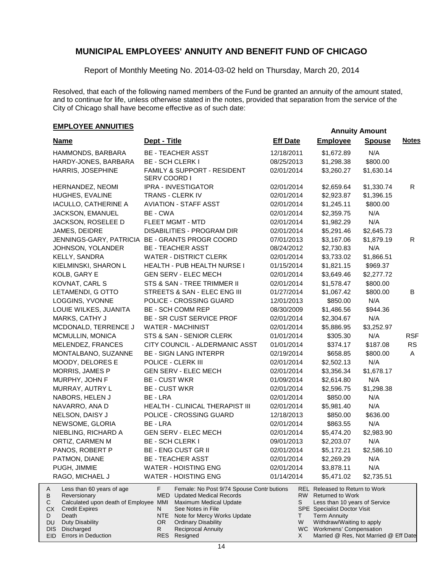Report of Monthly Meeting No. 2014-03-02 held on Thursday, March 20, 2014

Resolved, that each of the following named members of the Fund be granted an annuity of the amount stated, and to continue for life, unless otherwise stated in the notes, provided that separation from the service of the City of Chicago shall have become effective as of such date:

### **EMPLOYEE ANNUITIES**

|           |                                                 |                         |                                                                                 |                 |        |                                                              | Annuny Annuum |              |
|-----------|-------------------------------------------------|-------------------------|---------------------------------------------------------------------------------|-----------------|--------|--------------------------------------------------------------|---------------|--------------|
|           | <u>Name</u>                                     | Dept - Title            |                                                                                 | <b>Eff Date</b> |        | <b>Employee</b>                                              | <b>Spouse</b> | <b>Notes</b> |
|           | HAMMONDS, BARBARA                               |                         | <b>BE - TEACHER ASST</b>                                                        | 12/18/2011      |        | \$1,672.89                                                   | N/A           |              |
|           | HARDY-JONES, BARBARA                            | <b>BE - SCH CLERK I</b> |                                                                                 | 08/25/2013      |        | \$1,298.38                                                   | \$800.00      |              |
|           | HARRIS, JOSEPHINE                               | SERV COORD I            | FAMILY & SUPPORT - RESIDENT                                                     | 02/01/2014      |        | \$3,260.27                                                   | \$1,630.14    |              |
|           | HERNANDEZ, NEOMI                                |                         | IPRA - INVESTIGATOR                                                             | 02/01/2014      |        | \$2,659.64                                                   | \$1,330.74    | R            |
|           | HUGHES, EVALINE                                 |                         | TRANS - CLERK IV                                                                | 02/01/2014      |        | \$2,923.87                                                   | \$1,396.15    |              |
|           | IACULLO, CATHERINE A                            |                         | <b>AVIATION - STAFF ASST</b>                                                    | 02/01/2014      |        | \$1,245.11                                                   | \$800.00      |              |
|           | JACKSON, EMANUEL                                | BE - CWA                |                                                                                 | 02/01/2014      |        | \$2,359.75                                                   | N/A           |              |
|           | JACKSON, ROSELEE D                              |                         | FLEET MGMT - MTD                                                                | 02/01/2014      |        | \$1,982.29                                                   | N/A           |              |
|           | JAMES, DEIDRE                                   |                         | DISABILITIES - PROGRAM DIR                                                      | 02/01/2014      |        | \$5,291.46                                                   | \$2,645.73    |              |
|           | JENNINGS-GARY, PATRICIA BE - GRANTS PROGR COORD |                         |                                                                                 | 07/01/2013      |        | \$3,167.06                                                   | \$1,879.19    | R            |
|           | JOHNSON, YOLANDER                               |                         | <b>BE - TEACHER ASST</b>                                                        | 08/24/2012      |        | \$2,730.83                                                   | N/A           |              |
|           | KELLY, SANDRA                                   |                         | <b>WATER - DISTRICT CLERK</b>                                                   | 02/01/2014      |        | \$3,733.02                                                   | \$1,866.51    |              |
|           | KIELMINSKI, SHARON L                            |                         | HEALTH - PUB HEALTH NURSE I                                                     | 01/15/2014      |        | \$1,821.15                                                   | \$969.37      |              |
|           | KOLB, GARY E                                    |                         | <b>GEN SERV - ELEC MECH</b>                                                     | 02/01/2014      |        | \$3,649.46                                                   | \$2,277.72    |              |
|           | KOVNAT, CARL S                                  |                         | STS & SAN - TREE TRIMMER II                                                     | 02/01/2014      |        | \$1,578.47                                                   | \$800.00      |              |
|           | LETAMENDI, G OTTO                               |                         | STREETS & SAN - ELEC ENG III                                                    | 01/27/2014      |        | \$1,067.42                                                   | \$800.00      | В            |
|           | LOGGINS, YVONNE                                 |                         | POLICE - CROSSING GUARD                                                         | 12/01/2013      |        | \$850.00                                                     | N/A           |              |
|           | LOUIE WILKES, JUANITA                           |                         | <b>BE - SCH COMM REP</b>                                                        | 08/30/2009      |        | \$1,486.56                                                   | \$944.36      |              |
|           | MARKS, CATHY J                                  |                         | <b>BE - SR CUST SERVICE PROF</b>                                                | 02/01/2014      |        | \$2,304.67                                                   | N/A           |              |
|           | MCDONALD, TERRENCE J                            |                         | <b>WATER - MACHINIST</b>                                                        | 02/01/2014      |        | \$5,886.95                                                   | \$3,252.97    |              |
|           | MCMULLIN, MONICA                                |                         | STS & SAN - SENIOR CLERK                                                        | 01/01/2014      |        | \$305.30                                                     | N/A           | <b>RSF</b>   |
|           | MELENDEZ, FRANCES                               |                         | CITY COUNCIL - ALDERMANIC ASST                                                  | 01/01/2014      |        | \$374.17                                                     | \$187.08      | <b>RS</b>    |
|           | MONTALBANO, SUZANNE                             |                         | <b>BE - SIGN LANG INTERPR</b>                                                   | 02/19/2014      |        | \$658.85                                                     | \$800.00      | A            |
|           | MOODY, DELORES E                                |                         | POLICE - CLERK III                                                              | 02/01/2014      |        | \$2,502.13                                                   | N/A           |              |
|           | MORRIS, JAMES P                                 |                         | <b>GEN SERV - ELEC MECH</b>                                                     | 02/01/2014      |        | \$3,356.34                                                   | \$1,678.17    |              |
|           | MURPHY, JOHN F                                  | <b>BE - CUST WKR</b>    |                                                                                 | 01/09/2014      |        | \$2,614.80                                                   | N/A           |              |
|           | MURRAY, AUTRY L                                 | <b>BE - CUST WKR</b>    |                                                                                 | 02/01/2014      |        | \$2,596.75                                                   | \$1,298.38    |              |
|           | NABORS, HELEN J                                 | BE - LRA                |                                                                                 | 02/01/2014      |        | \$850.00                                                     | N/A           |              |
|           | NAVARRO, ANA D                                  |                         | HEALTH - CLINICAL THERAPIST III                                                 | 02/01/2014      |        | \$5,981.40                                                   | N/A           |              |
|           | NELSON, DAISY J                                 |                         | POLICE - CROSSING GUARD                                                         | 12/18/2013      |        | \$850.00                                                     | \$636.00      |              |
|           | NEWSOME, GLORIA                                 | BE - LRA                |                                                                                 | 02/01/2014      |        | \$863.55                                                     | N/A           |              |
|           | NIEBLING, RICHARD A                             |                         | <b>GEN SERV - ELEC MECH</b>                                                     | 02/01/2014      |        | \$5,474.20                                                   | \$2,983.90    |              |
|           | ORTIZ, CARMEN M                                 | BE - SCH CLERK I        |                                                                                 | 09/01/2013      |        | \$2,203.07                                                   | N/A           |              |
|           | PANOS, ROBERT P                                 |                         | <b>BE - ENG CUST GR II</b>                                                      | 02/01/2014      |        | \$5,172.21                                                   | \$2,586.10    |              |
|           | PATMON, DIANE                                   |                         | <b>BE - TEACHER ASST</b>                                                        | 02/01/2014      |        | \$2,269.29                                                   | N/A           |              |
|           | PUGH, JIMMIE                                    |                         | <b>WATER - HOISTING ENG</b>                                                     | 02/01/2014      |        | \$3,878.11                                                   | N/A           |              |
|           | RAGO, MICHAEL J                                 |                         | <b>WATER - HOISTING ENG</b>                                                     | 01/14/2014      |        | \$5,471.02                                                   | \$2,735.51    |              |
| A<br>В    | Less than 60 years of age<br>Reversionary       | F.                      | Female: No Post 9/74 Spouse Contr butions<br><b>MED</b> Updated Medical Records |                 |        | <b>REL Released to Return to Work</b><br>RW Returned to Work |               |              |
| С         | Calculated upon death of Employee MMI           |                         | <b>Maximum Medical Update</b>                                                   |                 | S      | Less than 10 years of Service                                |               |              |
| <b>CX</b> | <b>Credit Expires</b>                           | N.                      | See Notes in File                                                               |                 |        | SPE Specialist Doctor Visit<br><b>Term Annuity</b>           |               |              |
| D<br>DU   | Death<br>Duty Disability                        | NTE<br>OR.              | Note for Mercy Works Update<br><b>Ordinary Disability</b>                       |                 | т<br>W | Withdraw/Waiting to apply                                    |               |              |
|           | DIS<br>Discharged                               | R.                      | <b>Reciprocal Annuity</b>                                                       |                 |        | WC Workmens' Compensation                                    |               |              |
|           | EID Errors in Deduction                         | RES                     | Resigned                                                                        |                 | X      | Married @ Res, Not Married @ Eff Date                        |               |              |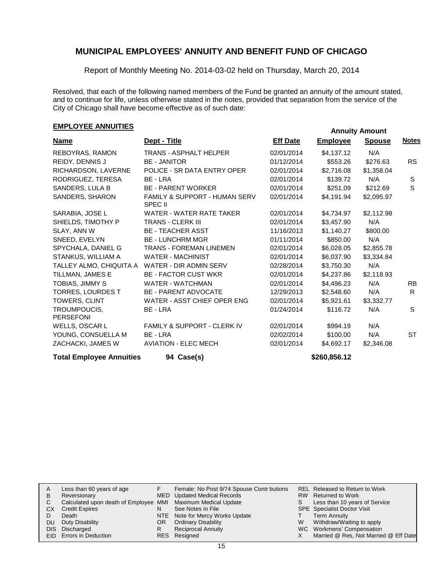Report of Monthly Meeting No. 2014-03-02 held on Thursday, March 20, 2014

Resolved, that each of the following named members of the Fund be granted an annuity of the amount stated, and to continue for life, unless otherwise stated in the notes, provided that separation from the service of the City of Chicago shall have become effective as of such date:

# **EMPLOYEE ANNUITIES**<br> **EMPLOYEE ANNUITIES**

| <b>Name</b>                      | Dept - Title                                               | <b>Eff Date</b> | <b>Employee</b> | <b>Spouse</b> | <b>Notes</b> |
|----------------------------------|------------------------------------------------------------|-----------------|-----------------|---------------|--------------|
| REBOYRAS, RAMON                  | <b>TRANS - ASPHALT HELPER</b>                              | 02/01/2014      | \$4,137.12      | N/A           |              |
| REIDY, DENNIS J                  | <b>BE - JANITOR</b>                                        | 01/12/2014      | \$553.26        | \$276.63      | <b>RS</b>    |
| RICHARDSON, LAVERNE              | POLICE - SR DATA ENTRY OPER                                | 02/01/2014      | \$2,716.08      | \$1,358.04    |              |
| RODRIGUEZ, TERESA                | BE - LRA                                                   | 02/01/2014      | \$139.72        | N/A           | S            |
| SANDERS, LULA B                  | <b>BE - PARENT WORKER</b>                                  | 02/01/2014      | \$251.09        | \$212.69      | S            |
| SANDERS, SHARON                  | <b>FAMILY &amp; SUPPORT - HUMAN SERV</b><br><b>SPEC II</b> | 02/01/2014      | \$4,191.94      | \$2,095.97    |              |
| SARABIA, JOSE L                  | WATER - WATER RATE TAKER                                   | 02/01/2014      | \$4,734.97      | \$2,112.98    |              |
| SHIELDS, TIMOTHY P               | <b>TRANS - CLERK III</b>                                   | 02/01/2014      | \$3,457.90      | N/A           |              |
| SLAY, ANN W                      | <b>BE - TEACHER ASST</b>                                   | 11/16/2013      | \$1,140.27      | \$800.00      |              |
| SNEED, EVELYN                    | <b>BE - LUNCHRM MGR</b>                                    | 01/11/2014      | \$850.00        | N/A           |              |
| SPYCHALA, DANIEL G               | <b>TRANS - FOREMAN LINEMEN</b>                             | 02/01/2014      | \$6,028.05      | \$2,855.78    |              |
| STANKUS, WILLIAM A               | <b>WATER - MACHINIST</b>                                   | 02/01/2014      | \$6,037.90      | \$3,334.84    |              |
| TALLEY ALMO, CHIQUITA A          | WATER - DIR ADMIN SERV                                     | 02/28/2014      | \$3,750.30      | N/A           |              |
| TILLMAN, JAMES E                 | <b>BE - FACTOR CUST WKR</b>                                | 02/01/2014      | \$4,237.86      | \$2,118.93    |              |
| TOBIAS, JIMMY S                  | WATER - WATCHMAN                                           | 02/01/2014      | \$4,496.23      | N/A           | <b>RB</b>    |
| <b>TORRES, LOURDES T</b>         | <b>BE - PARENT ADVOCATE</b>                                | 12/29/2013      | \$2,548.60      | N/A           | R.           |
| TOWERS, CLINT                    | WATER - ASST CHIEF OPER ENG                                | 02/01/2014      | \$5,921.61      | \$3,332.77    |              |
| TROUMPOUCIS.<br><b>PERSEFONI</b> | BE - LRA                                                   | 01/24/2014      | \$116.72        | N/A           | S            |
| WELLS, OSCAR L                   | <b>FAMILY &amp; SUPPORT - CLERK IV</b>                     | 02/01/2014      | \$994.19        | N/A           |              |
| YOUNG, CONSUELLA M               | BE - LRA                                                   | 02/02/2014      | \$100.00        | N/A           | ST           |
| ZACHACKI, JAMES W                | <b>AVIATION - ELEC MECH</b>                                | 02/01/2014      | \$4,692.17      | \$2,346.08    |              |
| <b>Total Employee Annuities</b>  | 94 Case(s)                                                 |                 | \$260,856.12    |               |              |

|      | Less than 60 years of age                                    |    | Female: No Post 9/74 Spouse Contr butions |   | REL Released to Return to Work        |
|------|--------------------------------------------------------------|----|-------------------------------------------|---|---------------------------------------|
| в    | Reversionary                                                 |    | MED Updated Medical Records               |   | RW Returned to Work                   |
| С    | Calculated upon death of Employee MMI Maximum Medical Update |    |                                           | S | Less than 10 years of Service         |
| СX   | <b>Credit Expires</b>                                        |    | See Notes in File                         |   | <b>SPE</b> Specialist Doctor Visit    |
|      | Death                                                        |    | NTE Note for Mercy Works Update           |   | <b>Term Annuity</b>                   |
| DU   | Duty Disability                                              | OR | <b>Ordinary Disability</b>                | W | Withdraw/Waiting to apply             |
| DIS. | Discharged                                                   |    | <b>Reciprocal Annuity</b>                 |   | WC Workmens' Compensation             |
|      | <b>EID</b> Errors in Deduction                               |    | RES Resigned                              |   | Married @ Res, Not Married @ Eff Date |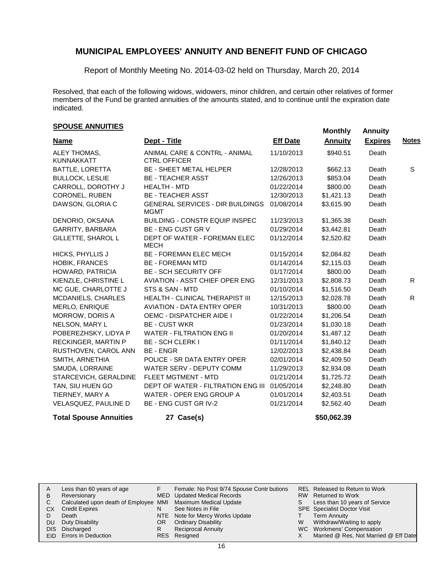Report of Monthly Meeting No. 2014-03-02 held on Thursday, March 20, 2014

Resolved, that each of the following widows, widowers, minor children, and certain other relatives of former members of the Fund be granted annuities of the amounts stated, and to continue until the expiration date indicated.

# **SPOUSE ANNUITIES Monthly** Annuity

| <b>Name</b>                       | Dept - Title                                           | <b>Eff Date</b> | <b>Annuity</b> | <b>Expires</b> | <b>Notes</b> |
|-----------------------------------|--------------------------------------------------------|-----------------|----------------|----------------|--------------|
| ALEY THOMAS,<br><b>KUNNAKKATT</b> | ANIMAL CARE & CONTRL - ANIMAL<br><b>CTRL OFFICER</b>   | 11/10/2013      | \$940.51       | Death          |              |
| BATTLE, LORETTA                   | <b>BE - SHEET METAL HELPER</b>                         | 12/28/2013      | \$662.13       | Death          | S            |
| <b>BULLOCK, LESLIE</b>            | <b>BE - TEACHER ASST</b>                               | 12/26/2013      | \$853.04       | Death          |              |
| CARROLL, DOROTHY J                | <b>HEALTH - MTD</b>                                    | 01/22/2014      | \$800.00       | Death          |              |
| CORONEL, RUBEN                    | <b>BE - TEACHER ASST</b>                               | 12/30/2013      | \$1,421.13     | Death          |              |
| DAWSON, GLORIA C                  | <b>GENERAL SERVICES - DIR BUILDINGS</b><br><b>MGMT</b> | 01/08/2014      | \$3,615.90     | Death          |              |
| DENORIO, OKSANA                   | <b>BUILDING - CONSTR EQUIP INSPEC</b>                  | 11/23/2013      | \$1,365.38     | Death          |              |
| GARRITY, BARBARA                  | BE - ENG CUST GR V                                     | 01/29/2014      | \$3,442.81     | Death          |              |
| GILLETTE, SHAROL L                | DEPT OF WATER - FOREMAN ELEC<br>MECH                   | 01/12/2014      | \$2,520.82     | Death          |              |
| HICKS, PHYLLIS J                  | <b>BE - FOREMAN ELEC MECH</b>                          | 01/15/2014      | \$2,084.82     | Death          |              |
| <b>HOBIK, FRANCES</b>             | <b>BE - FOREMAN MTD</b>                                | 01/14/2014      | \$2,115.03     | Death          |              |
| HOWARD, PATRICIA                  | <b>BE - SCH SECURITY OFF</b>                           | 01/17/2014      | \$800.00       | Death          |              |
| KIENZLE, CHRISTINE L              | <b>AVIATION - ASST CHIEF OPER ENG</b>                  | 12/31/2013      | \$2,808.73     | Death          | R.           |
| MC GUE, CHARLOTTE J               | STS & SAN - MTD                                        | 01/10/2014      | \$1,516.50     | Death          |              |
| MCDANIELS, CHARLES                | HEALTH - CLINICAL THERAPIST III                        | 12/15/2013      | \$2,028.78     | Death          | R            |
| MERLO, ENRIQUE                    | <b>AVIATION - DATA ENTRY OPER</b>                      | 10/31/2013      | \$800.00       | Death          |              |
| MORROW, DORIS A                   | <b>OEMC - DISPATCHER AIDE I</b>                        | 01/22/2014      | \$1,206.54     | Death          |              |
| NELSON, MARY L                    | <b>BE - CUST WKR</b>                                   | 01/23/2014      | \$1,030.18     | Death          |              |
| POBEREZHSKY, LIDYA P              | <b>WATER - FILTRATION ENG II</b>                       | 01/20/2014      | \$1,487.12     | Death          |              |
| RECKINGER, MARTIN P               | <b>BE - SCH CLERK I</b>                                | 01/11/2014      | \$1,840.12     | Death          |              |
| RUSTHOVEN, CAROL ANN              | <b>BE-ENGR</b>                                         | 12/02/2013      | \$2,438.84     | Death          |              |
| SMITH, ARNETHIA                   | POLICE - SR DATA ENTRY OPER                            | 02/01/2014      | \$2,409.50     | Death          |              |
| SMUDA, LORRAINE                   | <b>WATER SERV - DEPUTY COMM</b>                        | 11/29/2013      | \$2,934.08     | Death          |              |
| STARCEVICH, GERALDINE             | <b>FLEET MGTMENT - MTD</b>                             | 01/21/2014      | \$1,725.72     | Death          |              |
| TAN, SIU HUEN GO                  | <b>DEPT OF WATER - FILTRATION ENG III</b>              | 01/05/2014      | \$2,248.80     | Death          |              |
| TIERNEY, MARY A                   | WATER - OPER ENG GROUP A                               | 01/01/2014      | \$2,403.51     | Death          |              |
| VELASQUEZ, PAULINE D              | BE - ENG CUST GR IV-2                                  | 01/21/2014      | \$2,562.40     | Death          |              |
| <b>Total Spouse Annuities</b>     | 27 Case(s)                                             |                 | \$50,062.39    |                |              |

| A  | Less than 60 years of age                                    |    | Female: No Post 9/74 Spouse Contr butions |   | REL Released to Return to Work        |
|----|--------------------------------------------------------------|----|-------------------------------------------|---|---------------------------------------|
| в  | Reversionary                                                 |    | MED Updated Medical Records               |   | RW Returned to Work                   |
| C. | Calculated upon death of Employee MMI Maximum Medical Update |    |                                           |   | Less than 10 years of Service         |
| CХ | <b>Credit Expires</b>                                        | N  | See Notes in File                         |   | <b>SPE</b> Specialist Doctor Visit    |
|    | Death                                                        |    | NTE Note for Mercy Works Update           |   | Term Annuity                          |
| DU | Duty Disability                                              | OR | <b>Ordinary Disability</b>                | W | Withdraw/Waiting to apply             |
|    | DIS Discharged                                               | R  | <b>Reciprocal Annuity</b>                 |   | WC Workmens' Compensation             |
|    | EID Errors in Deduction                                      |    | RES Resigned                              |   | Married @ Res, Not Married @ Eff Date |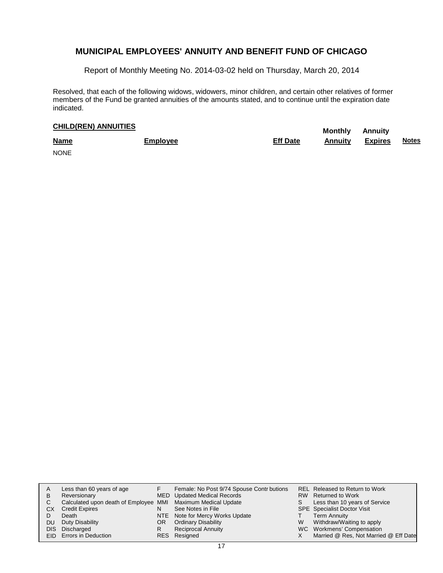Report of Monthly Meeting No. 2014-03-02 held on Thursday, March 20, 2014

Resolved, that each of the following widows, widowers, minor children, and certain other relatives of former members of the Fund be granted annuities of the amounts stated, and to continue until the expiration date indicated.

# **CHILD(REN) ANNUITIES Monthly** Annuity

| <b>Name</b><br><u>and the company of the company of the company of the company of the company of the company of the company of the company of the company of the company of the company of the company of the company of the company of the com</u> | Employee | <b>Eff Date</b> | Annuity | <b>Expires</b> | <u>Notes</u> |
|-----------------------------------------------------------------------------------------------------------------------------------------------------------------------------------------------------------------------------------------------------|----------|-----------------|---------|----------------|--------------|
| <b>NONE</b>                                                                                                                                                                                                                                         |          |                 |         |                |              |

| A  | Less than 60 years of age                                    |    | Female: No Post 9/74 Spouse Contr butions |   | REL Released to Return to Work        |
|----|--------------------------------------------------------------|----|-------------------------------------------|---|---------------------------------------|
| в  | Reversionary                                                 |    | MED Updated Medical Records               |   | RW Returned to Work                   |
| C  | Calculated upon death of Employee MMI Maximum Medical Update |    |                                           | S | Less than 10 years of Service         |
| CХ | <b>Credit Expires</b>                                        | N  | See Notes in File                         |   | <b>SPE</b> Specialist Doctor Visit    |
|    | Death                                                        |    | NTE Note for Mercy Works Update           |   | Term Annuity                          |
| DU | Duty Disability                                              | OR | <b>Ordinary Disability</b>                | W | Withdraw/Waiting to apply             |
|    | DIS Discharged                                               | R  | <b>Reciprocal Annuity</b>                 |   | WC Workmens' Compensation             |
|    | EID Errors in Deduction                                      |    | RES Resigned                              |   | Married @ Res, Not Married @ Eff Date |
|    |                                                              |    |                                           |   |                                       |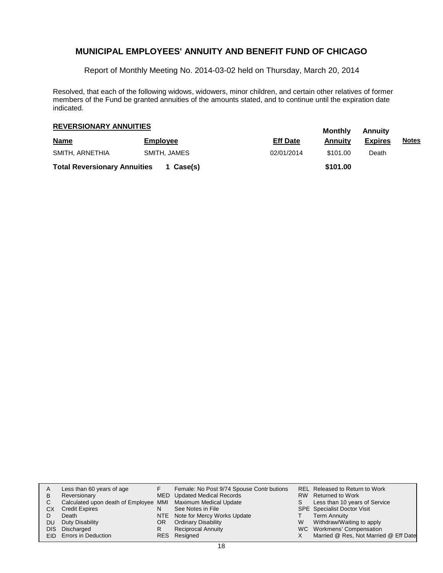Report of Monthly Meeting No. 2014-03-02 held on Thursday, March 20, 2014

Resolved, that each of the following widows, widowers, minor children, and certain other relatives of former members of the Fund be granted annuities of the amounts stated, and to continue until the expiration date indicated.

### **Monthly Annuity REVERSIONARY ANNUITIES**

| <b>Name</b>                         | <b>Employee</b> | <b>Eff Date</b> | <br>Annuitv | <i><b>AUROUS</b></i><br><b>Expires</b> | <u>Notes</u> |
|-------------------------------------|-----------------|-----------------|-------------|----------------------------------------|--------------|
| SMITH, ARNETHIA                     | SMITH, JAMES    | 02/01/2014      | \$101.00    | Death                                  |              |
| <b>Total Reversionary Annuities</b> | 1 Case(s)       |                 | \$101.00    |                                        |              |

| A    | Less than 60 years of age                                    |    | Female: No Post 9/74 Spouse Contr butions |    | REL Released to Return to Work        |
|------|--------------------------------------------------------------|----|-------------------------------------------|----|---------------------------------------|
| В    | Reversionary                                                 |    | MED Updated Medical Records               |    | RW Returned to Work                   |
| С    | Calculated upon death of Employee MMI Maximum Medical Update |    |                                           | S. | Less than 10 years of Service         |
| СX   | <b>Credit Expires</b>                                        | N  | See Notes in File                         |    | <b>SPE</b> Specialist Doctor Visit    |
|      | Death                                                        |    | NTE Note for Mercy Works Update           |    | <b>Term Annuity</b>                   |
| DU   | Duty Disability                                              | OR | <b>Ordinary Disability</b>                | W  | Withdraw/Waiting to apply             |
| DIS. | Discharged                                                   | R  | <b>Reciprocal Annuity</b>                 |    | WC Workmens' Compensation             |
|      | EID Errors in Deduction                                      |    | RES Resigned                              |    | Married @ Res, Not Married @ Eff Date |
|      |                                                              |    |                                           |    |                                       |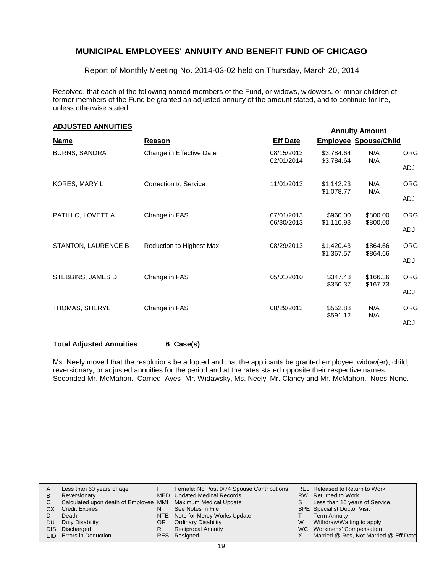Report of Monthly Meeting No. 2014-03-02 held on Thursday, March 20, 2014

Resolved, that each of the following named members of the Fund, or widows, widowers, or minor children of former members of the Fund be granted an adjusted annuity of the amount stated, and to continue for life, unless otherwise stated.

### **Annuity Amount ADJUSTED ANNUITIES**

|                      |                              |                          |                              | ATTITUTTY ATTIVUIT   |                   |
|----------------------|------------------------------|--------------------------|------------------------------|----------------------|-------------------|
| <b>Name</b>          | Reason                       | <b>Eff Date</b>          | <b>Employee Spouse/Child</b> |                      |                   |
| <b>BURNS, SANDRA</b> | Change in Effective Date     | 08/15/2013<br>02/01/2014 | \$3,784.64<br>\$3,784.64     | N/A<br>N/A           | <b>ORG</b><br>ADJ |
| KORES, MARY L        | <b>Correction to Service</b> | 11/01/2013               | \$1,142.23<br>\$1,078.77     | N/A<br>N/A           | <b>ORG</b><br>ADJ |
| PATILLO, LOVETT A    | Change in FAS                | 07/01/2013<br>06/30/2013 | \$960.00<br>\$1,110.93       | \$800.00<br>\$800.00 | <b>ORG</b><br>ADJ |
| STANTON, LAURENCE B  | Reduction to Highest Max     | 08/29/2013               | \$1,420.43<br>\$1,367.57     | \$864.66<br>\$864.66 | <b>ORG</b><br>ADJ |
| STEBBINS, JAMES D    | Change in FAS                | 05/01/2010               | \$347.48<br>\$350.37         | \$166.36<br>\$167.73 | <b>ORG</b><br>ADJ |
| THOMAS, SHERYL       | Change in FAS                | 08/29/2013               | \$552.88<br>\$591.12         | N/A<br>N/A           | <b>ORG</b><br>ADJ |

#### **Total Adjusted Annuities 6 Case(s)**

Ms. Neely moved that the resolutions be adopted and that the applicants be granted employee, widow(er), child, reversionary, or adjusted annuities for the period and at the rates stated opposite their respective names. Seconded Mr. McMahon. Carried: Ayes- Mr. Widawsky, Ms. Neely, Mr. Clancy and Mr. McMahon. Noes-None.

| A   | Less than 60 years of age                                    |    | Female: No Post 9/74 Spouse Contr butions |    | REL Released to Return to Work        |
|-----|--------------------------------------------------------------|----|-------------------------------------------|----|---------------------------------------|
| B   | Reversionary                                                 |    | MED Updated Medical Records               |    | RW Returned to Work                   |
|     | Calculated upon death of Employee MMI Maximum Medical Update |    |                                           | S. | Less than 10 years of Service         |
| CХ  | <b>Credit Expires</b>                                        | N  | See Notes in File                         |    | <b>SPE</b> Specialist Doctor Visit    |
|     | Death                                                        |    | NTE Note for Mercy Works Update           |    | Term Annuity                          |
| DU. | Duty Disability                                              | OR | <b>Ordinary Disability</b>                | W  | Withdraw/Waiting to apply             |
|     | DIS Discharged                                               | R  | <b>Reciprocal Annuity</b>                 |    | WC Workmens' Compensation             |
|     | <b>EID</b> Errors in Deduction                               |    | RES Resigned                              |    | Married @ Res, Not Married @ Eff Date |
|     |                                                              |    |                                           |    |                                       |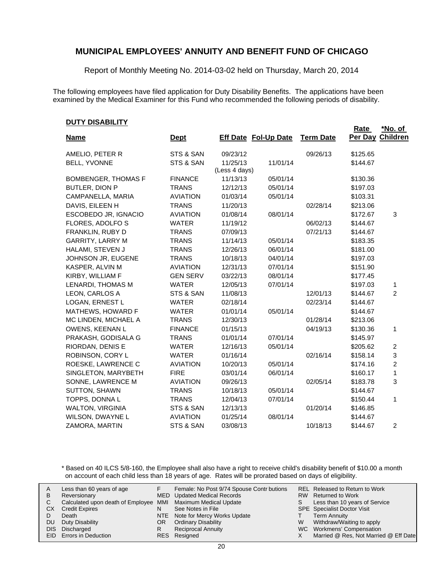Report of Monthly Meeting No. 2014-03-02 held on Thursday, March 20, 2014

The following employees have filed application for Duty Disability Benefits. The applications have been examined by the Medical Examiner for this Fund who recommended the following periods of disability.

#### **DUTY DISABILITY**

| <b>Name</b>                | <u>Dept</u>     |               | <b>Eff Date Fol-Up Date</b> | <b>Term Date</b> | Rate<br>Per Day | *No. of<br>Children |
|----------------------------|-----------------|---------------|-----------------------------|------------------|-----------------|---------------------|
|                            |                 |               |                             |                  |                 |                     |
| AMELIO, PETER R            | STS & SAN       | 09/23/12      |                             | 09/26/13         | \$125.65        |                     |
| BELL, YVONNE               | STS & SAN       | 11/25/13      | 11/01/14                    |                  | \$144.67        |                     |
|                            |                 | (Less 4 days) |                             |                  |                 |                     |
| <b>BOMBENGER, THOMAS F</b> | <b>FINANCE</b>  | 11/13/13      | 05/01/14                    |                  | \$130.36        |                     |
| BUTLER, DION P             | <b>TRANS</b>    | 12/12/13      | 05/01/14                    |                  | \$197.03        |                     |
| CAMPANELLA, MARIA          | <b>AVIATION</b> | 01/03/14      | 05/01/14                    |                  | \$103.31        |                     |
| DAVIS, EILEEN H            | <b>TRANS</b>    | 11/20/13      |                             | 02/28/14         | \$213.06        |                     |
| ESCOBEDO JR, IGNACIO       | <b>AVIATION</b> | 01/08/14      | 08/01/14                    |                  | \$172.67        | 3                   |
| FLORES, ADOLFO S           | <b>WATER</b>    | 11/19/12      |                             | 06/02/13         | \$144.67        |                     |
| FRANKLIN, RUBY D           | <b>TRANS</b>    | 07/09/13      |                             | 07/21/13         | \$144.67        |                     |
| <b>GARRITY, LARRY M</b>    | <b>TRANS</b>    | 11/14/13      | 05/01/14                    |                  | \$183.35        |                     |
| HALAMI, STEVEN J           | <b>TRANS</b>    | 12/26/13      | 06/01/14                    |                  | \$181.00        |                     |
| JOHNSON JR, EUGENE         | <b>TRANS</b>    | 10/18/13      | 04/01/14                    |                  | \$197.03        |                     |
| KASPER, ALVIN M            | <b>AVIATION</b> | 12/31/13      | 07/01/14                    |                  | \$151.90        |                     |
| KIRBY, WILLIAM F           | <b>GEN SERV</b> | 03/22/13      | 08/01/14                    |                  | \$177.45        |                     |
| LENARDI, THOMAS M          | <b>WATER</b>    | 12/05/13      | 07/01/14                    |                  | \$197.03        | 1                   |
| LEON, CARLOS A             | STS & SAN       | 11/08/13      |                             | 12/01/13         | \$144.67        | 2                   |
| LOGAN, ERNEST L            | <b>WATER</b>    | 02/18/14      |                             | 02/23/14         | \$144.67        |                     |
| MATHEWS, HOWARD F          | <b>WATER</b>    | 01/01/14      | 05/01/14                    |                  | \$144.67        |                     |
| MC LINDEN, MICHAEL A       | <b>TRANS</b>    | 12/30/13      |                             | 01/28/14         | \$213.06        |                     |
| OWENS, KEENAN L            | <b>FINANCE</b>  | 01/15/13      |                             | 04/19/13         | \$130.36        | 1                   |
| PRAKASH, GODISALA G        | <b>TRANS</b>    | 01/01/14      | 07/01/14                    |                  | \$145.97        |                     |
| RIORDAN, DENIS E           | <b>WATER</b>    | 12/16/13      | 05/01/14                    |                  | \$205.62        | $\overline{c}$      |
| ROBINSON, CORY L           | <b>WATER</b>    | 01/16/14      |                             | 02/16/14         | \$158.14        | 3                   |
| ROESKE, LAWRENCE C         | <b>AVIATION</b> | 10/20/13      | 05/01/14                    |                  | \$174.16        | $\overline{2}$      |
| SINGLETON, MARYBETH        | <b>FIRE</b>     | 03/01/14      | 06/01/14                    |                  | \$160.17        | $\mathbf{1}$        |
| SONNE, LAWRENCE M          | <b>AVIATION</b> | 09/26/13      |                             | 02/05/14         | \$183.78        | 3                   |
| SUTTON, SHAWN              | <b>TRANS</b>    | 10/18/13      | 05/01/14                    |                  | \$144.67        |                     |
| TOPPS, DONNA L             | <b>TRANS</b>    | 12/04/13      | 07/01/14                    |                  | \$150.44        | 1                   |
| <b>WALTON, VIRGINIA</b>    | STS & SAN       | 12/13/13      |                             | 01/20/14         | \$146.85        |                     |
| WILSON, DWAYNE L           | <b>AVIATION</b> | 01/25/14      | 08/01/14                    |                  | \$144.67        |                     |
| ZAMORA, MARTIN             | STS & SAN       | 03/08/13      |                             | 10/18/13         | \$144.67        | $\overline{c}$      |

\* Based on 40 ILCS 5/8-160, the Employee shall also have a right to receive child's disability benefit of \$10.00 a month on account of each child less than 18 years of age. Rates will be prorated based on days of eligibility.

| A<br>В<br>CХ<br>DU | Less than 60 years of age<br>Reversionary<br>Calculated upon death of Employee MMI Maximum Medical Update<br><b>Credit Expires</b><br>Death<br>Duty Disability<br>DIS Discharged<br>EID Errors in Deduction | N<br>OR<br>R | Female: No Post 9/74 Spouse Contr butions<br><b>MED</b> Updated Medical Records<br>See Notes in File<br>NTE Note for Mercy Works Update<br><b>Ordinary Disability</b><br><b>Reciprocal Annuity</b><br>RES Resigned | S.<br>W | <b>REL Released to Return to Work</b><br>RW Returned to Work<br>Less than 10 years of Service<br><b>SPE</b> Specialist Doctor Visit<br><b>Term Annuity</b><br>Withdraw/Waiting to apply<br>WC Workmens' Compensation<br>Married @ Res, Not Married @ Eff Date |
|--------------------|-------------------------------------------------------------------------------------------------------------------------------------------------------------------------------------------------------------|--------------|--------------------------------------------------------------------------------------------------------------------------------------------------------------------------------------------------------------------|---------|---------------------------------------------------------------------------------------------------------------------------------------------------------------------------------------------------------------------------------------------------------------|
|--------------------|-------------------------------------------------------------------------------------------------------------------------------------------------------------------------------------------------------------|--------------|--------------------------------------------------------------------------------------------------------------------------------------------------------------------------------------------------------------------|---------|---------------------------------------------------------------------------------------------------------------------------------------------------------------------------------------------------------------------------------------------------------------|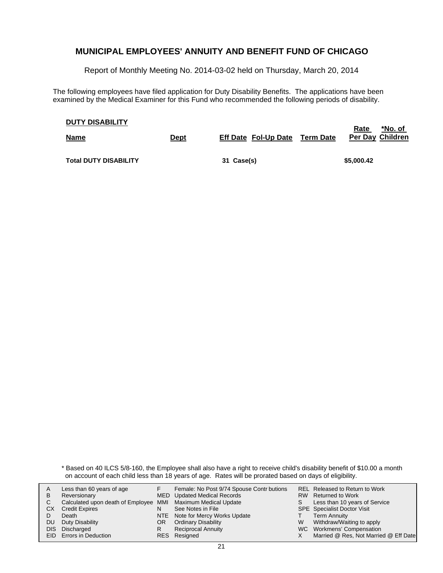Report of Monthly Meeting No. 2014-03-02 held on Thursday, March 20, 2014

The following employees have filed application for Duty Disability Benefits. The applications have been examined by the Medical Examiner for this Fund who recommended the following periods of disability.

| <b>DUTY DISABILITY</b>       |             |                             |           | <u>*No. of</u><br><u>Rate</u> |
|------------------------------|-------------|-----------------------------|-----------|-------------------------------|
| <b>Name</b>                  | <b>Dept</b> | <b>Eff Date Fol-Up Date</b> | Term Date | Per Day Children              |
| <b>Total DUTY DISABILITY</b> |             | 31 Case(s)                  |           | \$5,000.42                    |

\* Based on 40 ILCS 5/8-160, the Employee shall also have a right to receive child's disability benefit of \$10.00 a month on account of each child less than 18 years of age. Rates will be prorated based on days of eligibility.

| A    | Less than 60 years of age                                    |    | Female: No Post 9/74 Spouse Contr butions |    | REL Released to Return to Work        |
|------|--------------------------------------------------------------|----|-------------------------------------------|----|---------------------------------------|
| В    | Reversionary                                                 |    | <b>MED</b> Updated Medical Records        |    | RW Returned to Work                   |
|      | Calculated upon death of Employee MMI Maximum Medical Update |    |                                           | S. | Less than 10 years of Service         |
| CХ   | <b>Credit Expires</b>                                        | N  | See Notes in File                         |    | <b>SPE</b> Specialist Doctor Visit    |
|      | Death                                                        |    | NTE Note for Mercy Works Update           |    | <b>Term Annuity</b>                   |
| DU   | Duty Disability                                              | OR | <b>Ordinary Disability</b>                | W  | Withdraw/Waiting to apply             |
| DIS. | Discharged                                                   | R  | <b>Reciprocal Annuity</b>                 |    | WC Workmens' Compensation             |
|      | EID Errors in Deduction                                      |    | RES Resigned                              |    | Married @ Res, Not Married @ Eff Date |
|      |                                                              |    |                                           |    |                                       |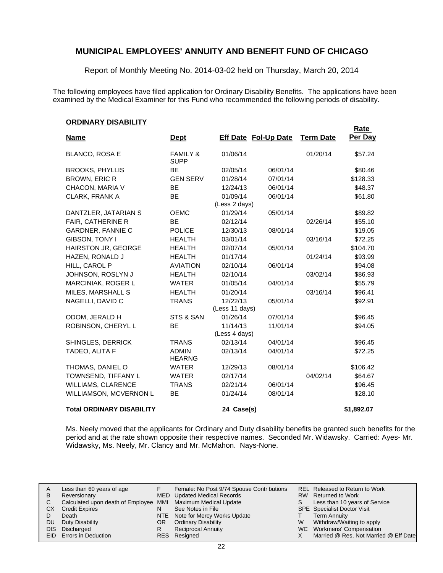Report of Monthly Meeting No. 2014-03-02 held on Thursday, March 20, 2014

The following employees have filed application for Ordinary Disability Benefits. The applications have been examined by the Medical Examiner for this Fund who recommended the following periods of disability.

**Rate** 

#### **ORDINARY DISABILITY**

| <u>Name</u>                      | <b>Dept</b>                        |                | <b>Eff Date Fol-Up Date</b> | <b>Term Date</b> | <u>kate</u><br>Per Day |
|----------------------------------|------------------------------------|----------------|-----------------------------|------------------|------------------------|
|                                  |                                    |                |                             |                  |                        |
| <b>BLANCO, ROSA E</b>            | <b>FAMILY &amp;</b><br><b>SUPP</b> | 01/06/14       |                             | 01/20/14         | \$57.24                |
| <b>BROOKS, PHYLLIS</b>           | <b>BE</b>                          | 02/05/14       | 06/01/14                    |                  | \$80.46                |
| <b>BROWN, ERIC R</b>             | <b>GEN SERV</b>                    | 01/28/14       | 07/01/14                    |                  | \$128.33               |
| CHACON, MARIA V                  | <b>BE</b>                          | 12/24/13       | 06/01/14                    |                  | \$48.37                |
| <b>CLARK, FRANK A</b>            | <b>BE</b>                          | 01/09/14       | 06/01/14                    |                  | \$61.80                |
|                                  |                                    | (Less 2 days)  |                             |                  |                        |
| DANTZLER, JATARIAN S             | <b>OEMC</b>                        | 01/29/14       | 05/01/14                    |                  | \$89.82                |
| <b>FAIR, CATHERINE R</b>         | <b>BE</b>                          | 02/12/14       |                             | 02/26/14         | \$55.10                |
| <b>GARDNER, FANNIE C</b>         | <b>POLICE</b>                      | 12/30/13       | 08/01/14                    |                  | \$19.05                |
| GIBSON, TONY I                   | <b>HEALTH</b>                      | 03/01/14       |                             | 03/16/14         | \$72.25                |
| HAIRSTON JR, GEORGE              | <b>HEALTH</b>                      | 02/07/14       | 05/01/14                    |                  | \$104.70               |
| HAZEN, RONALD J                  | <b>HEALTH</b>                      | 01/17/14       |                             | 01/24/14         | \$93.99                |
| HILL, CAROL P                    | <b>AVIATION</b>                    | 02/10/14       | 06/01/14                    |                  | \$94.08                |
| JOHNSON, ROSLYN J                | <b>HEALTH</b>                      | 02/10/14       |                             | 03/02/14         | \$86.93                |
| MARCINIAK, ROGER L               | <b>WATER</b>                       | 01/05/14       | 04/01/14                    |                  | \$55.79                |
| MILES, MARSHALL S                | <b>HEALTH</b>                      | 01/20/14       |                             | 03/16/14         | \$96.41                |
| NAGELLI, DAVID C                 | <b>TRANS</b>                       | 12/22/13       | 05/01/14                    |                  | \$92.91                |
|                                  |                                    | (Less 11 days) |                             |                  |                        |
| ODOM, JERALD H                   | STS & SAN                          | 01/26/14       | 07/01/14                    |                  | \$96.45                |
| ROBINSON, CHERYL L               | <b>BE</b>                          | 11/14/13       | 11/01/14                    |                  | \$94.05                |
|                                  |                                    | (Less 4 days)  |                             |                  |                        |
| SHINGLES, DERRICK                | <b>TRANS</b>                       | 02/13/14       | 04/01/14                    |                  | \$96.45                |
| TADEO, ALITA F                   | <b>ADMIN</b><br><b>HEARNG</b>      | 02/13/14       | 04/01/14                    |                  | \$72.25                |
| THOMAS, DANIEL O                 | <b>WATER</b>                       | 12/29/13       | 08/01/14                    |                  | \$106.42               |
| TOWNSEND, TIFFANY L              | <b>WATER</b>                       | 02/17/14       |                             | 04/02/14         | \$64.67                |
| <b>WILLIAMS, CLARENCE</b>        | <b>TRANS</b>                       | 02/21/14       | 06/01/14                    |                  | \$96.45                |
| WILLIAMSON, MCVERNON L           | BE                                 | 01/24/14       | 08/01/14                    |                  | \$28.10                |
| <b>Total ORDINARY DISABILITY</b> |                                    | 24 Case(s)     |                             |                  | \$1,892.07             |

Ms. Neely moved that the applicants for Ordinary and Duty disability benefits be granted such benefits for the period and at the rate shown opposite their respective names. Seconded Mr. Widawsky. Carried: Ayes- Mr. Widawsky, Ms. Neely, Mr. Clancy and Mr. McMahon. Nays-None.

| A   | Less than 60 years of age                                    |    | Female: No Post 9/74 Spouse Contr butions |   | REL Released to Return to Work        |
|-----|--------------------------------------------------------------|----|-------------------------------------------|---|---------------------------------------|
| в   | Reversionary                                                 |    | MED Updated Medical Records               |   | RW Returned to Work                   |
| C   | Calculated upon death of Employee MMI Maximum Medical Update |    |                                           |   | Less than 10 years of Service         |
| CХ  | <b>Credit Expires</b>                                        | N  | See Notes in File                         |   | <b>SPE</b> Specialist Doctor Visit    |
|     | Death                                                        |    | NTE Note for Mercy Works Update           |   | <b>Term Annuity</b>                   |
| DU. | Duty Disability                                              | OR | <b>Ordinary Disability</b>                | W | Withdraw/Waiting to apply             |
|     | DIS Discharged                                               | R  | <b>Reciprocal Annuity</b>                 |   | WC Workmens' Compensation             |
|     | EID Errors in Deduction                                      |    | RES Resigned                              |   | Married @ Res, Not Married @ Eff Date |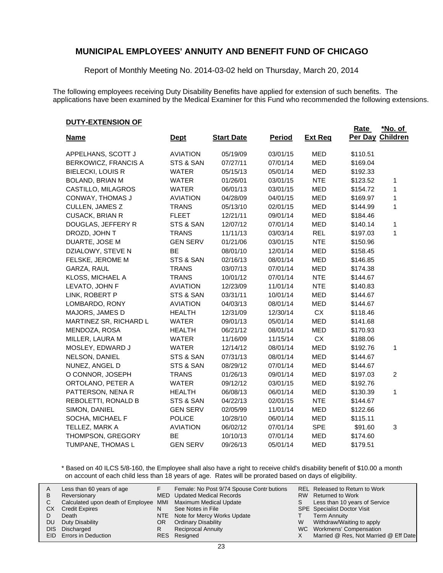Report of Monthly Meeting No. 2014-03-02 held on Thursday, March 20, 2014

The following employees receiving Duty Disability Benefits have applied for extension of such benefits. The applications have been examined by the Medical Examiner for this Fund who recommended the following extensions.

#### **DUTY-EXTENSION OF**

|                          |                 |                   |               |                | Rate     | <u>*No. of</u> |
|--------------------------|-----------------|-------------------|---------------|----------------|----------|----------------|
| <b>Name</b>              | <u>Dept</u>     | <b>Start Date</b> | <b>Period</b> | <b>Ext Req</b> | Per Day  | Children       |
| APPELHANS, SCOTT J       | <b>AVIATION</b> | 05/19/09          | 03/01/15      | <b>MED</b>     | \$110.51 |                |
| BERKOWICZ, FRANCIS A     | STS & SAN       | 07/27/11          | 07/01/14      | <b>MED</b>     | \$169.04 |                |
| <b>BIELECKI, LOUIS R</b> | <b>WATER</b>    | 05/15/13          | 05/01/14      | <b>MED</b>     | \$192.33 |                |
| <b>BOLAND, BRIAN M</b>   | <b>WATER</b>    | 01/26/01          | 03/01/15      | <b>NTE</b>     | \$123.52 | 1              |
| CASTILLO, MILAGROS       | <b>WATER</b>    | 06/01/13          | 03/01/15      | <b>MED</b>     | \$154.72 | 1              |
| CONWAY, THOMAS J         | <b>AVIATION</b> | 04/28/09          | 04/01/15      | <b>MED</b>     | \$169.97 | 1              |
| CULLEN, JAMES Z          | <b>TRANS</b>    | 05/13/10          | 02/01/15      | MED            | \$144.99 | 1              |
| <b>CUSACK, BRIAN R</b>   | <b>FLEET</b>    | 12/21/11          | 09/01/14      | <b>MED</b>     | \$184.46 |                |
| DOUGLAS, JEFFERY R       | STS & SAN       | 12/07/12          | 07/01/14      | <b>MED</b>     | \$140.14 | 1              |
| DROZD, JOHN T            | <b>TRANS</b>    | 11/11/13          | 03/03/14      | <b>REL</b>     | \$197.03 | 1              |
| DUARTE, JOSE M           | <b>GEN SERV</b> | 01/21/06          | 03/01/15      | <b>NTE</b>     | \$150.96 |                |
| DZIALOWY, STEVE N        | BE              | 08/01/10          | 12/01/14      | MED            | \$158.45 |                |
| FELSKE, JEROME M         | STS & SAN       | 02/16/13          | 08/01/14      | MED            | \$146.85 |                |
| GARZA, RAUL              | <b>TRANS</b>    | 03/07/13          | 07/01/14      | <b>MED</b>     | \$174.38 |                |
| KLOSS, MICHAEL A         | <b>TRANS</b>    | 10/01/12          | 07/01/14      | <b>NTE</b>     | \$144.67 |                |
| LEVATO, JOHN F           | <b>AVIATION</b> | 12/23/09          | 11/01/14      | <b>NTE</b>     | \$140.83 |                |
| LINK, ROBERT P           | STS & SAN       | 03/31/11          | 10/01/14      | <b>MED</b>     | \$144.67 |                |
| LOMBARDO, RONY           | <b>AVIATION</b> | 04/03/13          | 08/01/14      | <b>MED</b>     | \$144.67 |                |
| MAJORS, JAMES D          | <b>HEALTH</b>   | 12/31/09          | 12/30/14      | <b>CX</b>      | \$118.46 |                |
| MARTINEZ SR, RICHARD L   | <b>WATER</b>    | 09/01/13          | 05/01/14      | <b>MED</b>     | \$141.68 |                |
| MENDOZA, ROSA            | <b>HEALTH</b>   | 06/21/12          | 08/01/14      | <b>MED</b>     | \$170.93 |                |
| MILLER, LAURA M          | <b>WATER</b>    | 11/16/09          | 11/15/14      | CX             | \$188.06 |                |
| MOSLEY, EDWARD J         | <b>WATER</b>    | 12/14/12          | 08/01/14      | <b>MED</b>     | \$192.76 | 1              |
| NELSON, DANIEL           | STS & SAN       | 07/31/13          | 08/01/14      | <b>MED</b>     | \$144.67 |                |
| NUNEZ, ANGEL D           | STS & SAN       | 08/29/12          | 07/01/14      | <b>MED</b>     | \$144.67 |                |
| O CONNOR, JOSEPH         | <b>TRANS</b>    | 01/26/13          | 09/01/14      | <b>MED</b>     | \$197.03 | $\overline{c}$ |
| ORTOLANO, PETER A        | <b>WATER</b>    | 09/12/12          | 03/01/15      | <b>MED</b>     | \$192.76 |                |
| PATTERSON, NENA R        | <b>HEALTH</b>   | 06/08/13          | 06/01/14      | <b>MED</b>     | \$130.39 | 1              |
| REBOLETTI, RONALD B      | STS & SAN       | 04/22/13          | 02/01/15      | <b>NTE</b>     | \$144.67 |                |
| SIMON, DANIEL            | <b>GEN SERV</b> | 02/05/99          | 11/01/14      | MED            | \$122.66 |                |
| SOCHA, MICHAEL F         | <b>POLICE</b>   | 10/28/10          | 06/01/14      | MED            | \$115.11 |                |
| TELLEZ, MARK A           | <b>AVIATION</b> | 06/02/12          | 07/01/14      | <b>SPE</b>     | \$91.60  | 3              |
| THOMPSON, GREGORY        | BE              | 10/10/13          | 07/01/14      | <b>MED</b>     | \$174.60 |                |
| TUMPANE, THOMAS L        | <b>GEN SERV</b> | 09/26/13          | 05/01/14      | MED            | \$179.51 |                |

\* Based on 40 ILCS 5/8-160, the Employee shall also have a right to receive child's disability benefit of \$10.00 a month on account of each child less than 18 years of age. Rates will be prorated based on days of eligibility.

| A<br>В | Less than 60 years of age<br>Reversionary                    |    | Female: No Post 9/74 Spouse Contr butions<br>MED Updated Medical Records |    | REL Released to Return to Work<br>RW Returned to Work |
|--------|--------------------------------------------------------------|----|--------------------------------------------------------------------------|----|-------------------------------------------------------|
|        | Calculated upon death of Employee MMI Maximum Medical Update |    |                                                                          | S. | Less than 10 years of Service                         |
| СX     | <b>Credit Expires</b>                                        | N  | See Notes in File                                                        |    | <b>SPE</b> Specialist Doctor Visit                    |
|        | Death                                                        |    | NTE Note for Mercy Works Update                                          |    | <b>Term Annuity</b>                                   |
| DU     | Duty Disability                                              | OR | <b>Ordinary Disability</b>                                               | W  | Withdraw/Waiting to apply                             |
| DIS.   | Discharged                                                   | R  | <b>Reciprocal Annuity</b>                                                |    | WC Workmens' Compensation                             |
|        | <b>EID</b> Errors in Deduction                               |    | RES Resigned                                                             |    | Married @ Res, Not Married @ Eff Date                 |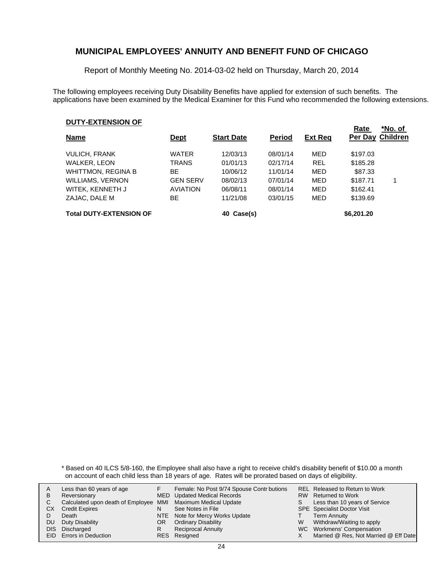Report of Monthly Meeting No. 2014-03-02 held on Thursday, March 20, 2014

The following employees receiving Duty Disability Benefits have applied for extension of such benefits. The applications have been examined by the Medical Examiner for this Fund who recommended the following extensions.

#### **DUTY-EXTENSION OF**

| <b>Name</b>                    | <u>Dept</u>     | <b>Start Date</b> | <b>Period</b> | <b>Ext Reg</b> | Rate       | *No. of<br>Per Day Children |
|--------------------------------|-----------------|-------------------|---------------|----------------|------------|-----------------------------|
| <b>VULICH, FRANK</b>           | <b>WATER</b>    | 12/03/13          | 08/01/14      | MED            | \$197.03   |                             |
| <b>WALKER, LEON</b>            | TRANS           | 01/01/13          | 02/17/14      | <b>REL</b>     | \$185.28   |                             |
| <b>WHITTMON, REGINA B</b>      | ВE              | 10/06/12          | 11/01/14      | MED            | \$87.33    |                             |
| <b>WILLIAMS, VERNON</b>        | <b>GEN SERV</b> | 08/02/13          | 07/01/14      | MED            | \$187.71   |                             |
| WITEK, KENNETH J               | <b>AVIATION</b> | 06/08/11          | 08/01/14      | MED            | \$162.41   |                             |
| ZAJAC, DALE M                  | ВE              | 11/21/08          | 03/01/15      | MED            | \$139.69   |                             |
| <b>Total DUTY-EXTENSION OF</b> |                 | 40 Case(s)        |               |                | \$6,201.20 |                             |

\* Based on 40 ILCS 5/8-160, the Employee shall also have a right to receive child's disability benefit of \$10.00 a month on account of each child less than 18 years of age. Rates will be prorated based on days of eligibility.

| A    | Less than 60 years of age                                    |    | Female: No Post 9/74 Spouse Contr butions |    | REL Released to Return to Work        |
|------|--------------------------------------------------------------|----|-------------------------------------------|----|---------------------------------------|
| В    | Reversionary                                                 |    | <b>MED</b> Updated Medical Records        |    | RW Returned to Work                   |
|      | Calculated upon death of Employee MMI Maximum Medical Update |    |                                           | S. | Less than 10 years of Service         |
| CХ   | <b>Credit Expires</b>                                        | N  | See Notes in File                         |    | <b>SPE</b> Specialist Doctor Visit    |
|      | Death                                                        |    | NTE Note for Mercy Works Update           |    | <b>Term Annuity</b>                   |
| DU   | Duty Disability                                              | OR | <b>Ordinary Disability</b>                | W  | Withdraw/Waiting to apply             |
| DIS. | Discharged                                                   | R  | <b>Reciprocal Annuity</b>                 |    | WC Workmens' Compensation             |
|      | EID Errors in Deduction                                      |    | RES Resigned                              |    | Married @ Res, Not Married @ Eff Date |
|      |                                                              |    |                                           |    |                                       |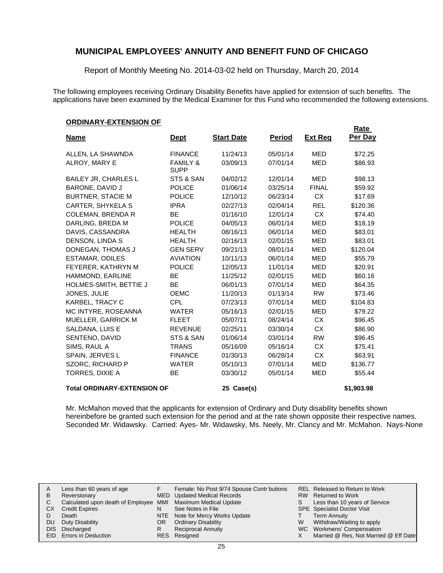Report of Monthly Meeting No. 2014-03-02 held on Thursday, March 20, 2014

The following employees receiving Ordinary Disability Benefits have applied for extension of such benefits. The applications have been examined by the Medical Examiner for this Fund who recommended the following extensions.

**Rate** 

#### **ORDINARY-EXTENSION OF**

| <u>Name</u>                        | <u>Dept</u>                        | <b>Start Date</b> | <b>Period</b> | <b>Ext Req</b> | <u>naie</u><br>Per Day |
|------------------------------------|------------------------------------|-------------------|---------------|----------------|------------------------|
| ALLEN, LA SHAWNDA                  | <b>FINANCE</b>                     | 11/24/13          | 05/01/14      | <b>MED</b>     | \$72.25                |
|                                    |                                    |                   |               |                |                        |
| ALROY, MARY E                      | <b>FAMILY &amp;</b><br><b>SUPP</b> | 03/09/13          | 07/01/14      | <b>MED</b>     | \$86.93                |
| BAILEY JR, CHARLES L               | STS & SAN                          | 04/02/12          | 12/01/14      | <b>MED</b>     | \$98.13                |
| BARONE, DAVID J                    | <b>POLICE</b>                      | 01/06/14          | 03/25/14      | <b>FINAL</b>   | \$59.92                |
| <b>BURTNER, STACIE M</b>           | <b>POLICE</b>                      | 12/10/12          | 06/23/14      | CX.            | \$17.69                |
| CARTER, SHYKELA S                  | <b>IPRA</b>                        | 02/27/13          | 02/04/14      | <b>REL</b>     | \$120.36               |
| <b>COLEMAN, BRENDA R</b>           | <b>BE</b>                          | 01/16/10          | 12/01/14      | CX.            | \$74.40                |
| DARLING, BREDA M                   | <b>POLICE</b>                      | 04/05/13          | 06/01/14      | <b>MED</b>     | \$18.19                |
| DAVIS, CASSANDRA                   | <b>HEALTH</b>                      | 08/16/13          | 06/01/14      | <b>MED</b>     | \$83.01                |
| DENSON, LINDA S                    | <b>HEALTH</b>                      | 02/16/13          | 02/01/15      | <b>MED</b>     | \$83.01                |
| DONEGAN, THOMAS J                  | <b>GEN SERV</b>                    | 09/21/13          | 08/01/14      | <b>MED</b>     | \$120.04               |
| ESTAMAR, ODILES                    | <b>AVIATION</b>                    | 10/11/13          | 06/01/14      | <b>MED</b>     | \$55.79                |
| FEYERER, KATHRYN M                 | <b>POLICE</b>                      | 12/05/13          | 11/01/14      | <b>MED</b>     | \$20.91                |
| HAMMOND, EARLINE                   | <b>BE</b>                          | 11/25/12          | 02/01/15      | <b>MED</b>     | \$60.16                |
| HOLMES-SMITH, BETTIE J             | <b>BE</b>                          | 06/01/13          | 07/01/14      | <b>MED</b>     | \$64.35                |
| JONES, JULIE                       | <b>OEMC</b>                        | 11/20/13          | 01/13/14      | <b>RW</b>      | \$73.46                |
| KARBEL, TRACY C                    | <b>CPL</b>                         | 07/23/13          | 07/01/14      | <b>MED</b>     | \$104.83               |
| MC INTYRE, ROSEANNA                | <b>WATER</b>                       | 05/16/13          | 02/01/15      | MED            | \$79.22                |
| MUELLER, GARRICK M                 | <b>FLEET</b>                       | 05/07/11          | 08/24/14      | <b>CX</b>      | \$96.45                |
| SALDANA, LUIS E                    | <b>REVENUE</b>                     | 02/25/11          | 03/30/14      | <b>CX</b>      | \$86.90                |
| SENTENO, DAVID                     | STS & SAN                          | 01/06/14          | 03/01/14      | <b>RW</b>      | \$96.45                |
| SIMS, RAUL A                       | <b>TRANS</b>                       | 05/16/09          | 05/16/14      | <b>CX</b>      | \$75.41                |
| SPAIN, JERVES L                    | <b>FINANCE</b>                     | 01/30/13          | 06/28/14      | <b>CX</b>      | \$63.91                |
| SZORC, RICHARD P                   | <b>WATER</b>                       | 05/10/13          | 07/01/14      | <b>MED</b>     | \$136.77               |
| TORRES, DIXIE A                    | <b>BE</b>                          | 03/30/12          | 05/01/14      | <b>MED</b>     | \$55.44                |
| <b>Total ORDINARY-EXTENSION OF</b> |                                    | 25 Case(s)        |               |                | \$1,903.98             |

Mr. McMahon moved that the applicants for extension of Ordinary and Duty disability benefits shown hereinbefore be granted such extension for the period and at the rate shown opposite their respective names. Seconded Mr. Widawsky. Carried: Ayes- Mr. Widawsky, Ms. Neely, Mr. Clancy and Mr. McMahon. Nays-None

| A   | Less than 60 years of age                                    |     | Female: No Post 9/74 Spouse Contr butions |   | REL Released to Return to Work        |
|-----|--------------------------------------------------------------|-----|-------------------------------------------|---|---------------------------------------|
| в   | Reversionary                                                 |     | MED Updated Medical Records               |   | RW Returned to Work                   |
| C   | Calculated upon death of Employee MMI Maximum Medical Update |     |                                           | S | Less than 10 years of Service         |
| СX  | <b>Credit Expires</b>                                        | N   | See Notes in File                         |   | <b>SPE</b> Specialist Doctor Visit    |
|     | Death                                                        |     | NTE Note for Mercy Works Update           |   | <b>Term Annuity</b>                   |
| DU. | Duty Disability                                              | OR. | <b>Ordinary Disability</b>                | W | Withdraw/Waiting to apply             |
|     | DIS Discharged                                               |     | <b>Reciprocal Annuity</b>                 |   | WC Workmens' Compensation             |
|     | <b>EID</b> Errors in Deduction                               |     | RES Resigned                              |   | Married @ Res, Not Married @ Eff Date |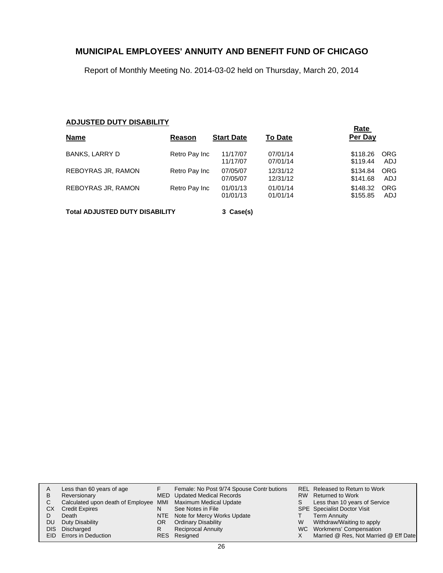Report of Monthly Meeting No. 2014-03-02 held on Thursday, March 20, 2014

### **ADJUSTED DUTY DISABILITY**

|                                       |               |                      |                      | Rate                                      |  |  |  |
|---------------------------------------|---------------|----------------------|----------------------|-------------------------------------------|--|--|--|
| <b>Name</b>                           | Reason        | <b>Start Date</b>    | <b>To Date</b>       | Per Day                                   |  |  |  |
| <b>BANKS, LARRY D</b>                 | Retro Pay Inc | 11/17/07<br>11/17/07 | 07/01/14<br>07/01/14 | <b>ORG</b><br>\$118.26<br>\$119.44<br>ADJ |  |  |  |
| REBOYRAS JR, RAMON                    | Retro Pay Inc | 07/05/07<br>07/05/07 | 12/31/12<br>12/31/12 | <b>ORG</b><br>\$134.84<br>\$141.68<br>ADJ |  |  |  |
| REBOYRAS JR, RAMON                    | Retro Pay Inc | 01/01/13<br>01/01/13 | 01/01/14<br>01/01/14 | \$148.32<br><b>ORG</b><br>\$155.85<br>ADJ |  |  |  |
| <b>Total ADJUSTED DUTY DISABILITY</b> |               | 3 Case(s)            |                      |                                           |  |  |  |

|    | Less than 60 years of age                                    |     | Female: No Post 9/74 Spouse Contr butions |    | REL Released to Return to Work        |
|----|--------------------------------------------------------------|-----|-------------------------------------------|----|---------------------------------------|
| в  | Reversionary                                                 |     | MED Updated Medical Records               |    | RW Returned to Work                   |
| C. | Calculated upon death of Employee MMI Maximum Medical Update |     |                                           | S. | Less than 10 years of Service         |
| CХ | <b>Credit Expires</b>                                        | N   | See Notes in File                         |    | <b>SPE</b> Specialist Doctor Visit    |
|    | Death                                                        |     | NTE Note for Mercy Works Update           |    | <b>Term Annuity</b>                   |
| DU | Duty Disability                                              | OR. | <b>Ordinary Disability</b>                | W  | Withdraw/Waiting to apply             |
|    | DIS Discharged                                               | R   | <b>Reciprocal Annuity</b>                 |    | WC Workmens' Compensation             |
|    | EID Errors in Deduction                                      |     | RES Resigned                              |    | Married @ Res, Not Married @ Eff Date |
|    |                                                              |     |                                           |    |                                       |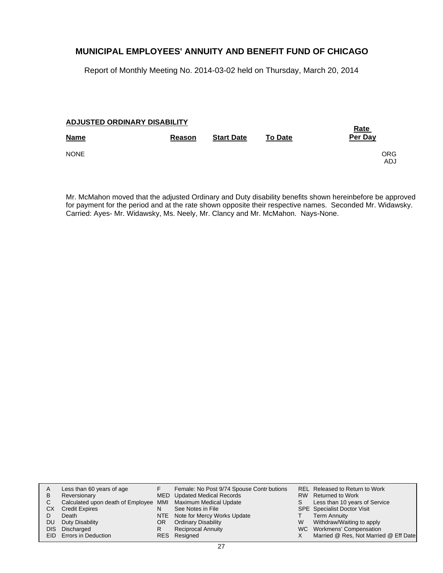Report of Monthly Meeting No. 2014-03-02 held on Thursday, March 20, 2014

#### **ADJUSTED ORDINARY DISABILITY**

| <b>Name</b> | Reason | <b>Start Date</b> | <b>To Date</b> | <b>Rate</b><br>Per Day |
|-------------|--------|-------------------|----------------|------------------------|
| <b>NONE</b> |        |                   |                | ORG<br><b>ADJ</b>      |

Mr. McMahon moved that the adjusted Ordinary and Duty disability benefits shown hereinbefore be approved for payment for the period and at the rate shown opposite their respective names. Seconded Mr. Widawsky. Carried: Ayes- Mr. Widawsky, Ms. Neely, Mr. Clancy and Mr. McMahon. Nays-None.

| A          | Less than 60 years of age                                    |    | Female: No Post 9/74 Spouse Contr butions |   | REL Released to Return to Work        |
|------------|--------------------------------------------------------------|----|-------------------------------------------|---|---------------------------------------|
| B          | Reversionary                                                 |    | <b>MED</b> Updated Medical Records        |   | RW Returned to Work                   |
| C.         | Calculated upon death of Employee MMI Maximum Medical Update |    |                                           | S | Less than 10 years of Service         |
| CХ         | <b>Credit Expires</b>                                        | N  | See Notes in File                         |   | <b>SPE</b> Specialist Doctor Visit    |
|            | Death                                                        |    | NTE Note for Mercy Works Update           |   | <b>Term Annuity</b>                   |
| DU.        | Duty Disability                                              | OR | <b>Ordinary Disability</b>                | W | Withdraw/Waiting to apply             |
| <b>DIS</b> | Discharged                                                   | R  | <b>Reciprocal Annuity</b>                 |   | WC Workmens' Compensation             |
|            | EID Errors in Deduction                                      |    | RES Resigned                              |   | Married @ Res, Not Married @ Eff Date |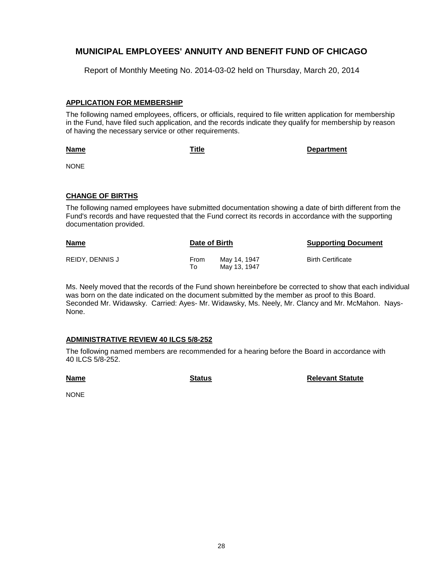Report of Monthly Meeting No. 2014-03-02 held on Thursday, March 20, 2014

### **APPLICATION FOR MEMBERSHIP**

The following named employees, officers, or officials, required to file written application for membership in the Fund, have filed such application, and the records indicate they qualify for membership by reason of having the necessary service or other requirements.

**Name**

**Title Department**

NONE

### **CHANGE OF BIRTHS**

The following named employees have submitted documentation showing a date of birth different from the Fund's records and have requested that the Fund correct its records in accordance with the supporting documentation provided.

| <b>Name</b>     | Date of Birth |                              | <b>Supporting Document</b> |
|-----------------|---------------|------------------------------|----------------------------|
| REIDY, DENNIS J | From<br>To    | May 14, 1947<br>May 13, 1947 | <b>Birth Certificate</b>   |

Ms. Neely moved that the records of the Fund shown hereinbefore be corrected to show that each individual was born on the date indicated on the document submitted by the member as proof to this Board. Seconded Mr. Widawsky. Carried: Ayes- Mr. Widawsky, Ms. Neely, Mr. Clancy and Mr. McMahon. Nays-None.

### **ADMINISTRATIVE REVIEW 40 ILCS 5/8-252**

The following named members are recommended for a hearing before the Board in accordance with 40 ILCS 5/8-252.

**Name**

**Status Relevant Statute**

NONE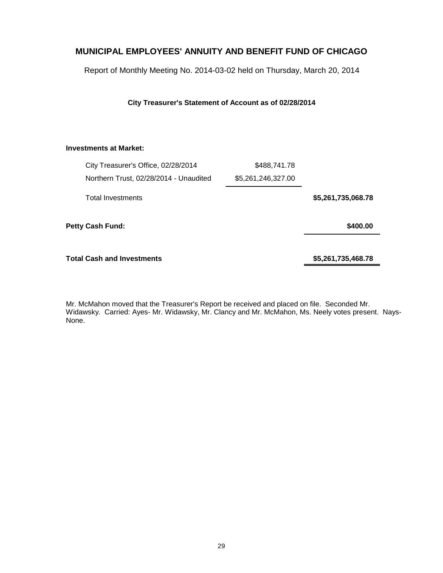Report of Monthly Meeting No. 2014-03-02 held on Thursday, March 20, 2014

#### **City Treasurer's Statement of Account as of 02/28/2014**

### **Investments at Market:**

| City Treasurer's Office, 02/28/2014    | \$488,741.78       |                    |
|----------------------------------------|--------------------|--------------------|
| Northern Trust, 02/28/2014 - Unaudited | \$5,261,246,327.00 |                    |
| <b>Total Investments</b>               |                    | \$5,261,735,068.78 |
| Petty Cash Fund:                       |                    | \$400.00           |
| <b>Total Cash and Investments</b>      |                    | \$5,261,735,468.78 |

Mr. McMahon moved that the Treasurer's Report be received and placed on file. Seconded Mr. Widawsky. Carried: Ayes- Mr. Widawsky, Mr. Clancy and Mr. McMahon, Ms. Neely votes present. Nays-None.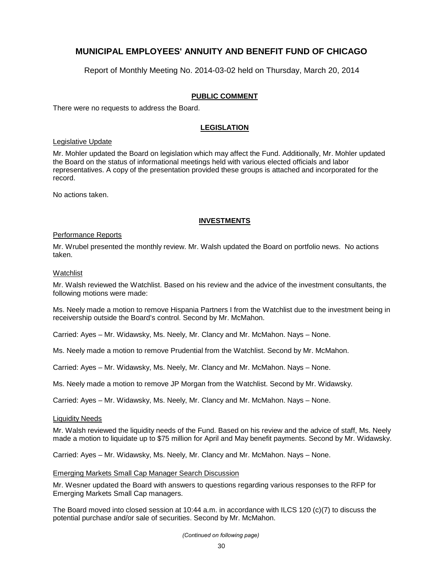Report of Monthly Meeting No. 2014-03-02 held on Thursday, March 20, 2014

#### **PUBLIC COMMENT**

There were no requests to address the Board.

#### **LEGISLATION**

#### Legislative Update

Mr. Mohler updated the Board on legislation which may affect the Fund. Additionally, Mr. Mohler updated the Board on the status of informational meetings held with various elected officials and labor representatives. A copy of the presentation provided these groups is attached and incorporated for the record.

No actions taken.

#### **INVESTMENTS**

#### Performance Reports

Mr. Wrubel presented the monthly review. Mr. Walsh updated the Board on portfolio news. No actions taken.

#### Watchlist

Mr. Walsh reviewed the Watchlist. Based on his review and the advice of the investment consultants, the following motions were made:

Ms. Neely made a motion to remove Hispania Partners I from the Watchlist due to the investment being in receivership outside the Board's control. Second by Mr. McMahon.

Carried: Ayes – Mr. Widawsky, Ms. Neely, Mr. Clancy and Mr. McMahon. Nays – None.

Ms. Neely made a motion to remove Prudential from the Watchlist. Second by Mr. McMahon.

Carried: Ayes – Mr. Widawsky, Ms. Neely, Mr. Clancy and Mr. McMahon. Nays – None.

Ms. Neely made a motion to remove JP Morgan from the Watchlist. Second by Mr. Widawsky.

Carried: Ayes – Mr. Widawsky, Ms. Neely, Mr. Clancy and Mr. McMahon. Nays – None.

#### Liquidity Needs

Mr. Walsh reviewed the liquidity needs of the Fund. Based on his review and the advice of staff, Ms. Neely made a motion to liquidate up to \$75 million for April and May benefit payments. Second by Mr. Widawsky.

Carried: Ayes – Mr. Widawsky, Ms. Neely, Mr. Clancy and Mr. McMahon. Nays – None.

#### Emerging Markets Small Cap Manager Search Discussion

Mr. Wesner updated the Board with answers to questions regarding various responses to the RFP for Emerging Markets Small Cap managers.

The Board moved into closed session at 10:44 a.m. in accordance with ILCS 120 (c)(7) to discuss the potential purchase and/or sale of securities. Second by Mr. McMahon.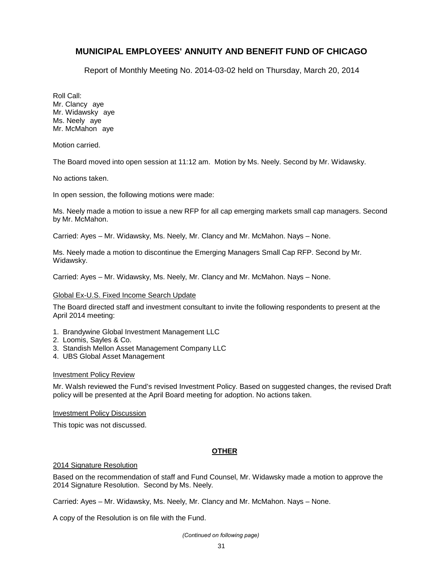Report of Monthly Meeting No. 2014-03-02 held on Thursday, March 20, 2014

Roll Call: Mr. Clancy aye Mr. Widawsky aye Ms. Neely ave Mr. McMahon aye

Motion carried.

The Board moved into open session at 11:12 am. Motion by Ms. Neely. Second by Mr. Widawsky.

No actions taken.

In open session, the following motions were made:

Ms. Neely made a motion to issue a new RFP for all cap emerging markets small cap managers. Second by Mr. McMahon.

Carried: Ayes – Mr. Widawsky, Ms. Neely, Mr. Clancy and Mr. McMahon. Nays – None.

Ms. Neely made a motion to discontinue the Emerging Managers Small Cap RFP. Second by Mr. Widawsky.

Carried: Ayes – Mr. Widawsky, Ms. Neely, Mr. Clancy and Mr. McMahon. Nays – None.

#### Global Ex-U.S. Fixed Income Search Update

The Board directed staff and investment consultant to invite the following respondents to present at the April 2014 meeting:

- 1. Brandywine Global Investment Management LLC
- 2. Loomis, Sayles & Co.
- 3. Standish Mellon Asset Management Company LLC
- 4. UBS Global Asset Management

#### Investment Policy Review

Mr. Walsh reviewed the Fund's revised Investment Policy. Based on suggested changes, the revised Draft policy will be presented at the April Board meeting for adoption. No actions taken.

#### Investment Policy Discussion

This topic was not discussed.

#### **OTHER**

#### 2014 Signature Resolution

Based on the recommendation of staff and Fund Counsel, Mr. Widawsky made a motion to approve the 2014 Signature Resolution. Second by Ms. Neely.

Carried: Ayes – Mr. Widawsky, Ms. Neely, Mr. Clancy and Mr. McMahon. Nays – None.

A copy of the Resolution is on file with the Fund.